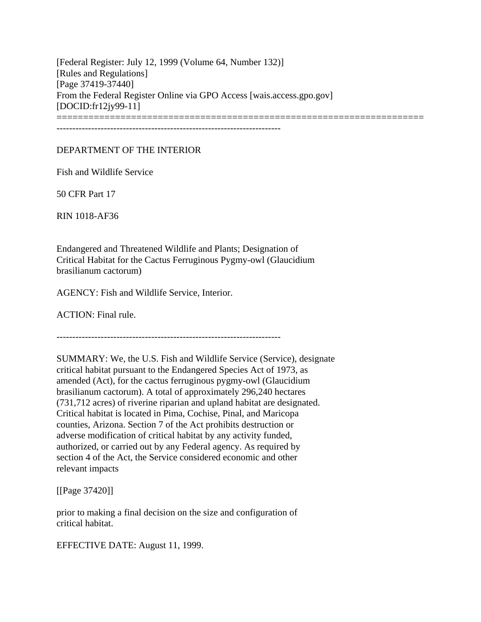[Federal Register: July 12, 1999 (Volume 64, Number 132)] [Rules and Regulations] [Page 37419-37440] From the Federal Register Online via GPO Access [wais.access.gpo.gov] [DOCID:fr12jy99-11] =====================================================================

-----------------------------------------------------------------------

# DEPARTMENT OF THE INTERIOR

Fish and Wildlife Service

50 CFR Part 17

RIN 1018-AF36

Endangered and Threatened Wildlife and Plants; Designation of Critical Habitat for the Cactus Ferruginous Pygmy-owl (Glaucidium brasilianum cactorum)

AGENCY: Fish and Wildlife Service, Interior.

ACTION: Final rule.

-----------------------------------------------------------------------

SUMMARY: We, the U.S. Fish and Wildlife Service (Service), designate critical habitat pursuant to the Endangered Species Act of 1973, as amended (Act), for the cactus ferruginous pygmy-owl (Glaucidium brasilianum cactorum). A total of approximately 296,240 hectares (731,712 acres) of riverine riparian and upland habitat are designated. Critical habitat is located in Pima, Cochise, Pinal, and Maricopa counties, Arizona. Section 7 of the Act prohibits destruction or adverse modification of critical habitat by any activity funded, authorized, or carried out by any Federal agency. As required by section 4 of the Act, the Service considered economic and other relevant impacts

[[Page 37420]]

prior to making a final decision on the size and configuration of critical habitat.

EFFECTIVE DATE: August 11, 1999.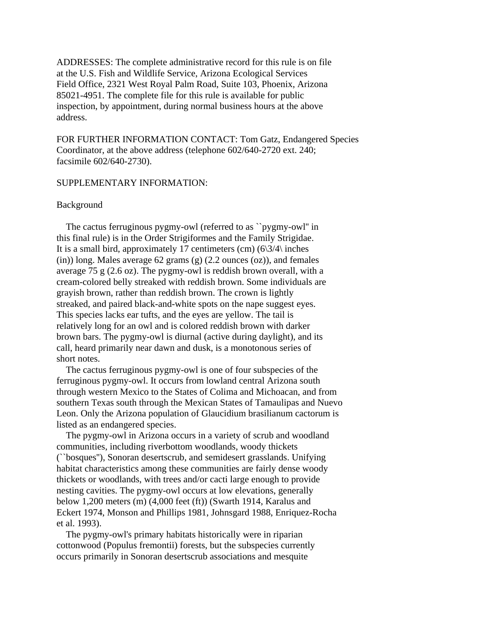ADDRESSES: The complete administrative record for this rule is on file at the U.S. Fish and Wildlife Service, Arizona Ecological Services Field Office, 2321 West Royal Palm Road, Suite 103, Phoenix, Arizona 85021-4951. The complete file for this rule is available for public inspection, by appointment, during normal business hours at the above address.

FOR FURTHER INFORMATION CONTACT: Tom Gatz, Endangered Species Coordinator, at the above address (telephone 602/640-2720 ext. 240; facsimile 602/640-2730).

#### SUPPLEMENTARY INFORMATION:

#### Background

 The cactus ferruginous pygmy-owl (referred to as ``pygmy-owl'' in this final rule) is in the Order Strigiformes and the Family Strigidae. It is a small bird, approximately 17 centimeters (cm)  $(6\frac{3}{4}\$  inches (in)) long. Males average  $62$  grams (g)  $(2.2 \text{ ounces} (oz))$ , and females average 75 g (2.6 oz). The pygmy-owl is reddish brown overall, with a cream-colored belly streaked with reddish brown. Some individuals are grayish brown, rather than reddish brown. The crown is lightly streaked, and paired black-and-white spots on the nape suggest eyes. This species lacks ear tufts, and the eyes are yellow. The tail is relatively long for an owl and is colored reddish brown with darker brown bars. The pygmy-owl is diurnal (active during daylight), and its call, heard primarily near dawn and dusk, is a monotonous series of short notes.

 The cactus ferruginous pygmy-owl is one of four subspecies of the ferruginous pygmy-owl. It occurs from lowland central Arizona south through western Mexico to the States of Colima and Michoacan, and from southern Texas south through the Mexican States of Tamaulipas and Nuevo Leon. Only the Arizona population of Glaucidium brasilianum cactorum is listed as an endangered species.

 The pygmy-owl in Arizona occurs in a variety of scrub and woodland communities, including riverbottom woodlands, woody thickets (``bosques''), Sonoran desertscrub, and semidesert grasslands. Unifying habitat characteristics among these communities are fairly dense woody thickets or woodlands, with trees and/or cacti large enough to provide nesting cavities. The pygmy-owl occurs at low elevations, generally below 1,200 meters (m) (4,000 feet (ft)) (Swarth 1914, Karalus and Eckert 1974, Monson and Phillips 1981, Johnsgard 1988, Enriquez-Rocha et al. 1993).

 The pygmy-owl's primary habitats historically were in riparian cottonwood (Populus fremontii) forests, but the subspecies currently occurs primarily in Sonoran desertscrub associations and mesquite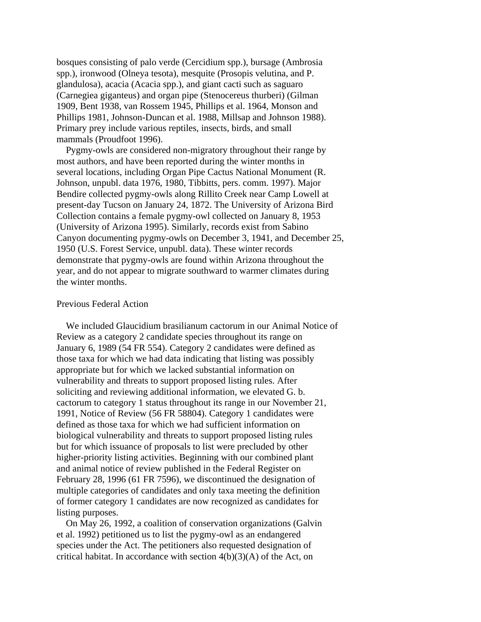bosques consisting of palo verde (Cercidium spp.), bursage (Ambrosia spp.), ironwood (Olneya tesota), mesquite (Prosopis velutina, and P. glandulosa), acacia (Acacia spp.), and giant cacti such as saguaro (Carnegiea giganteus) and organ pipe (Stenocereus thurberi) (Gilman 1909, Bent 1938, van Rossem 1945, Phillips et al. 1964, Monson and Phillips 1981, Johnson-Duncan et al. 1988, Millsap and Johnson 1988). Primary prey include various reptiles, insects, birds, and small mammals (Proudfoot 1996).

 Pygmy-owls are considered non-migratory throughout their range by most authors, and have been reported during the winter months in several locations, including Organ Pipe Cactus National Monument (R. Johnson, unpubl. data 1976, 1980, Tibbitts, pers. comm. 1997). Major Bendire collected pygmy-owls along Rillito Creek near Camp Lowell at present-day Tucson on January 24, 1872. The University of Arizona Bird Collection contains a female pygmy-owl collected on January 8, 1953 (University of Arizona 1995). Similarly, records exist from Sabino Canyon documenting pygmy-owls on December 3, 1941, and December 25, 1950 (U.S. Forest Service, unpubl. data). These winter records demonstrate that pygmy-owls are found within Arizona throughout the year, and do not appear to migrate southward to warmer climates during the winter months.

### Previous Federal Action

 We included Glaucidium brasilianum cactorum in our Animal Notice of Review as a category 2 candidate species throughout its range on January 6, 1989 (54 FR 554). Category 2 candidates were defined as those taxa for which we had data indicating that listing was possibly appropriate but for which we lacked substantial information on vulnerability and threats to support proposed listing rules. After soliciting and reviewing additional information, we elevated G. b. cactorum to category 1 status throughout its range in our November 21, 1991, Notice of Review (56 FR 58804). Category 1 candidates were defined as those taxa for which we had sufficient information on biological vulnerability and threats to support proposed listing rules but for which issuance of proposals to list were precluded by other higher-priority listing activities. Beginning with our combined plant and animal notice of review published in the Federal Register on February 28, 1996 (61 FR 7596), we discontinued the designation of multiple categories of candidates and only taxa meeting the definition of former category 1 candidates are now recognized as candidates for listing purposes.

 On May 26, 1992, a coalition of conservation organizations (Galvin et al. 1992) petitioned us to list the pygmy-owl as an endangered species under the Act. The petitioners also requested designation of critical habitat. In accordance with section  $4(b)(3)(A)$  of the Act, on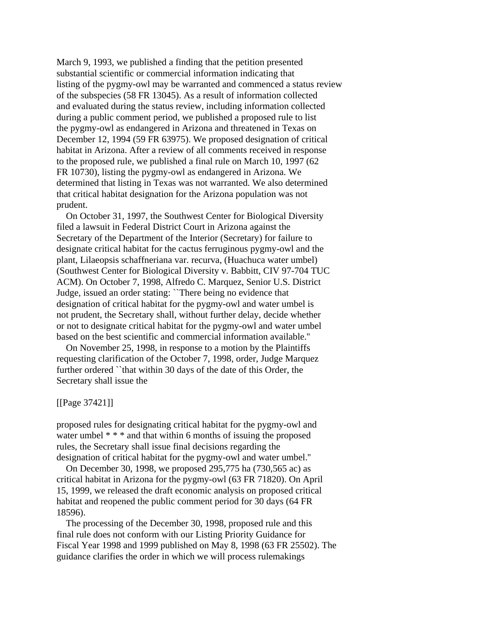March 9, 1993, we published a finding that the petition presented substantial scientific or commercial information indicating that listing of the pygmy-owl may be warranted and commenced a status review of the subspecies (58 FR 13045). As a result of information collected and evaluated during the status review, including information collected during a public comment period, we published a proposed rule to list the pygmy-owl as endangered in Arizona and threatened in Texas on December 12, 1994 (59 FR 63975). We proposed designation of critical habitat in Arizona. After a review of all comments received in response to the proposed rule, we published a final rule on March 10, 1997 (62 FR 10730), listing the pygmy-owl as endangered in Arizona. We determined that listing in Texas was not warranted. We also determined that critical habitat designation for the Arizona population was not prudent.

 On October 31, 1997, the Southwest Center for Biological Diversity filed a lawsuit in Federal District Court in Arizona against the Secretary of the Department of the Interior (Secretary) for failure to designate critical habitat for the cactus ferruginous pygmy-owl and the plant, Lilaeopsis schaffneriana var. recurva, (Huachuca water umbel) (Southwest Center for Biological Diversity v. Babbitt, CIV 97-704 TUC ACM). On October 7, 1998, Alfredo C. Marquez, Senior U.S. District Judge, issued an order stating: ``There being no evidence that designation of critical habitat for the pygmy-owl and water umbel is not prudent, the Secretary shall, without further delay, decide whether or not to designate critical habitat for the pygmy-owl and water umbel based on the best scientific and commercial information available.''

 On November 25, 1998, in response to a motion by the Plaintiffs requesting clarification of the October 7, 1998, order, Judge Marquez further ordered "that within 30 days of the date of this Order, the Secretary shall issue the

[[Page 37421]]

proposed rules for designating critical habitat for the pygmy-owl and water umbel  $***$  and that within 6 months of issuing the proposed rules, the Secretary shall issue final decisions regarding the designation of critical habitat for the pygmy-owl and water umbel.''

 On December 30, 1998, we proposed 295,775 ha (730,565 ac) as critical habitat in Arizona for the pygmy-owl (63 FR 71820). On April 15, 1999, we released the draft economic analysis on proposed critical habitat and reopened the public comment period for 30 days (64 FR 18596).

 The processing of the December 30, 1998, proposed rule and this final rule does not conform with our Listing Priority Guidance for Fiscal Year 1998 and 1999 published on May 8, 1998 (63 FR 25502). The guidance clarifies the order in which we will process rulemakings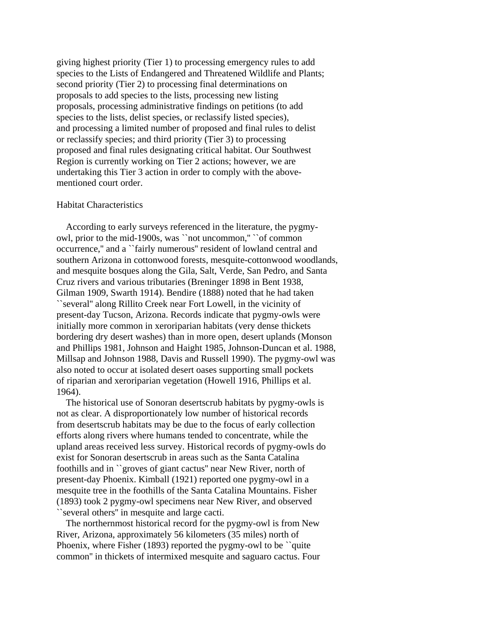giving highest priority (Tier 1) to processing emergency rules to add species to the Lists of Endangered and Threatened Wildlife and Plants; second priority (Tier 2) to processing final determinations on proposals to add species to the lists, processing new listing proposals, processing administrative findings on petitions (to add species to the lists, delist species, or reclassify listed species), and processing a limited number of proposed and final rules to delist or reclassify species; and third priority (Tier 3) to processing proposed and final rules designating critical habitat. Our Southwest Region is currently working on Tier 2 actions; however, we are undertaking this Tier 3 action in order to comply with the abovementioned court order.

### Habitat Characteristics

 According to early surveys referenced in the literature, the pygmyowl, prior to the mid-1900s, was ``not uncommon,'' ``of common occurrence,'' and a ``fairly numerous'' resident of lowland central and southern Arizona in cottonwood forests, mesquite-cottonwood woodlands, and mesquite bosques along the Gila, Salt, Verde, San Pedro, and Santa Cruz rivers and various tributaries (Breninger 1898 in Bent 1938, Gilman 1909, Swarth 1914). Bendire (1888) noted that he had taken ``several'' along Rillito Creek near Fort Lowell, in the vicinity of present-day Tucson, Arizona. Records indicate that pygmy-owls were initially more common in xeroriparian habitats (very dense thickets bordering dry desert washes) than in more open, desert uplands (Monson and Phillips 1981, Johnson and Haight 1985, Johnson-Duncan et al. 1988, Millsap and Johnson 1988, Davis and Russell 1990). The pygmy-owl was also noted to occur at isolated desert oases supporting small pockets of riparian and xeroriparian vegetation (Howell 1916, Phillips et al. 1964).

 The historical use of Sonoran desertscrub habitats by pygmy-owls is not as clear. A disproportionately low number of historical records from desertscrub habitats may be due to the focus of early collection efforts along rivers where humans tended to concentrate, while the upland areas received less survey. Historical records of pygmy-owls do exist for Sonoran desertscrub in areas such as the Santa Catalina foothills and in ``groves of giant cactus'' near New River, north of present-day Phoenix. Kimball (1921) reported one pygmy-owl in a mesquite tree in the foothills of the Santa Catalina Mountains. Fisher (1893) took 2 pygmy-owl specimens near New River, and observed ``several others'' in mesquite and large cacti.

 The northernmost historical record for the pygmy-owl is from New River, Arizona, approximately 56 kilometers (35 miles) north of Phoenix, where Fisher (1893) reported the pygmy-owl to be "quite" common'' in thickets of intermixed mesquite and saguaro cactus. Four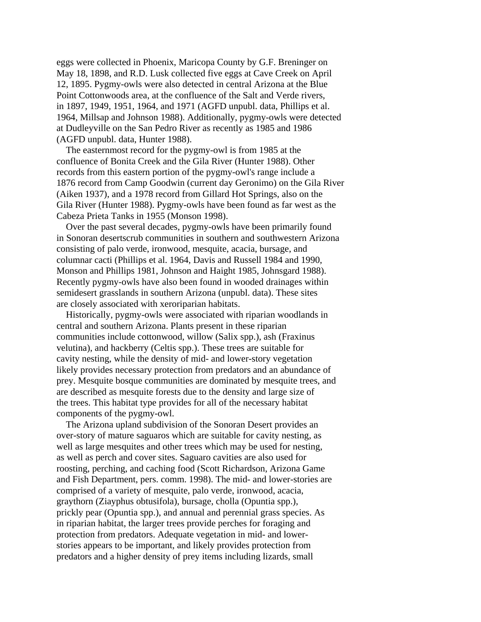eggs were collected in Phoenix, Maricopa County by G.F. Breninger on May 18, 1898, and R.D. Lusk collected five eggs at Cave Creek on April 12, 1895. Pygmy-owls were also detected in central Arizona at the Blue Point Cottonwoods area, at the confluence of the Salt and Verde rivers, in 1897, 1949, 1951, 1964, and 1971 (AGFD unpubl. data, Phillips et al. 1964, Millsap and Johnson 1988). Additionally, pygmy-owls were detected at Dudleyville on the San Pedro River as recently as 1985 and 1986 (AGFD unpubl. data, Hunter 1988).

 The easternmost record for the pygmy-owl is from 1985 at the confluence of Bonita Creek and the Gila River (Hunter 1988). Other records from this eastern portion of the pygmy-owl's range include a 1876 record from Camp Goodwin (current day Geronimo) on the Gila River (Aiken 1937), and a 1978 record from Gillard Hot Springs, also on the Gila River (Hunter 1988). Pygmy-owls have been found as far west as the Cabeza Prieta Tanks in 1955 (Monson 1998).

 Over the past several decades, pygmy-owls have been primarily found in Sonoran desertscrub communities in southern and southwestern Arizona consisting of palo verde, ironwood, mesquite, acacia, bursage, and columnar cacti (Phillips et al. 1964, Davis and Russell 1984 and 1990, Monson and Phillips 1981, Johnson and Haight 1985, Johnsgard 1988). Recently pygmy-owls have also been found in wooded drainages within semidesert grasslands in southern Arizona (unpubl. data). These sites are closely associated with xeroriparian habitats.

 Historically, pygmy-owls were associated with riparian woodlands in central and southern Arizona. Plants present in these riparian communities include cottonwood, willow (Salix spp.), ash (Fraxinus velutina), and hackberry (Celtis spp.). These trees are suitable for cavity nesting, while the density of mid- and lower-story vegetation likely provides necessary protection from predators and an abundance of prey. Mesquite bosque communities are dominated by mesquite trees, and are described as mesquite forests due to the density and large size of the trees. This habitat type provides for all of the necessary habitat components of the pygmy-owl.

 The Arizona upland subdivision of the Sonoran Desert provides an over-story of mature saguaros which are suitable for cavity nesting, as well as large mesquites and other trees which may be used for nesting, as well as perch and cover sites. Saguaro cavities are also used for roosting, perching, and caching food (Scott Richardson, Arizona Game and Fish Department, pers. comm. 1998). The mid- and lower-stories are comprised of a variety of mesquite, palo verde, ironwood, acacia, graythorn (Ziayphus obtusifola), bursage, cholla (Opuntia spp.), prickly pear (Opuntia spp.), and annual and perennial grass species. As in riparian habitat, the larger trees provide perches for foraging and protection from predators. Adequate vegetation in mid- and lowerstories appears to be important, and likely provides protection from predators and a higher density of prey items including lizards, small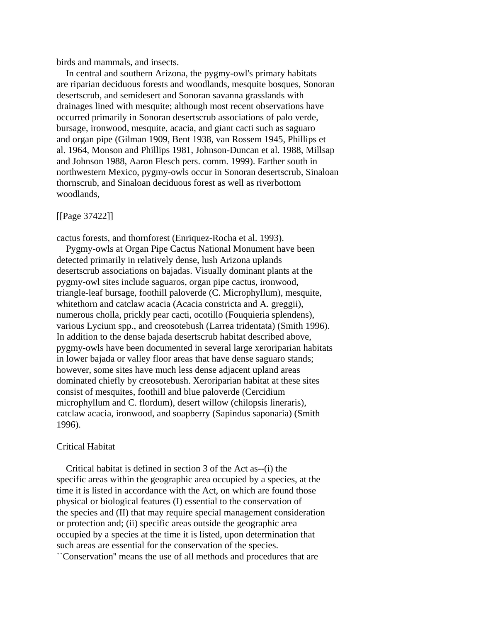birds and mammals, and insects.

 In central and southern Arizona, the pygmy-owl's primary habitats are riparian deciduous forests and woodlands, mesquite bosques, Sonoran desertscrub, and semidesert and Sonoran savanna grasslands with drainages lined with mesquite; although most recent observations have occurred primarily in Sonoran desertscrub associations of palo verde, bursage, ironwood, mesquite, acacia, and giant cacti such as saguaro and organ pipe (Gilman 1909, Bent 1938, van Rossem 1945, Phillips et al. 1964, Monson and Phillips 1981, Johnson-Duncan et al. 1988, Millsap and Johnson 1988, Aaron Flesch pers. comm. 1999). Farther south in northwestern Mexico, pygmy-owls occur in Sonoran desertscrub, Sinaloan thornscrub, and Sinaloan deciduous forest as well as riverbottom woodlands,

## [[Page 37422]]

cactus forests, and thornforest (Enriquez-Rocha et al. 1993).

 Pygmy-owls at Organ Pipe Cactus National Monument have been detected primarily in relatively dense, lush Arizona uplands desertscrub associations on bajadas. Visually dominant plants at the pygmy-owl sites include saguaros, organ pipe cactus, ironwood, triangle-leaf bursage, foothill paloverde (C. Microphyllum), mesquite, whitethorn and catclaw acacia (Acacia constricta and A. greggii), numerous cholla, prickly pear cacti, ocotillo (Fouquieria splendens), various Lycium spp., and creosotebush (Larrea tridentata) (Smith 1996). In addition to the dense bajada desertscrub habitat described above, pygmy-owls have been documented in several large xeroriparian habitats in lower bajada or valley floor areas that have dense saguaro stands; however, some sites have much less dense adjacent upland areas dominated chiefly by creosotebush. Xeroriparian habitat at these sites consist of mesquites, foothill and blue paloverde (Cercidium microphyllum and C. flordum), desert willow (chilopsis lineraris), catclaw acacia, ironwood, and soapberry (Sapindus saponaria) (Smith 1996).

### Critical Habitat

 Critical habitat is defined in section 3 of the Act as--(i) the specific areas within the geographic area occupied by a species, at the time it is listed in accordance with the Act, on which are found those physical or biological features (I) essential to the conservation of the species and (II) that may require special management consideration or protection and; (ii) specific areas outside the geographic area occupied by a species at the time it is listed, upon determination that such areas are essential for the conservation of the species. ``Conservation'' means the use of all methods and procedures that are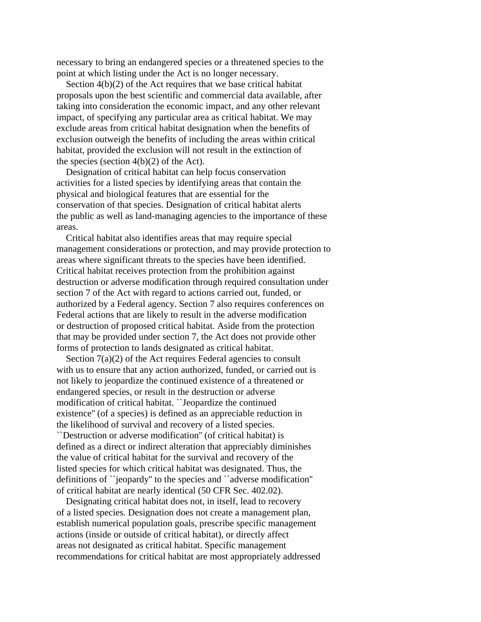necessary to bring an endangered species or a threatened species to the point at which listing under the Act is no longer necessary.

 Section 4(b)(2) of the Act requires that we base critical habitat proposals upon the best scientific and commercial data available, after taking into consideration the economic impact, and any other relevant impact, of specifying any particular area as critical habitat. We may exclude areas from critical habitat designation when the benefits of exclusion outweigh the benefits of including the areas within critical habitat, provided the exclusion will not result in the extinction of the species (section  $4(b)(2)$  of the Act).

 Designation of critical habitat can help focus conservation activities for a listed species by identifying areas that contain the physical and biological features that are essential for the conservation of that species. Designation of critical habitat alerts the public as well as land-managing agencies to the importance of these areas.

 Critical habitat also identifies areas that may require special management considerations or protection, and may provide protection to areas where significant threats to the species have been identified. Critical habitat receives protection from the prohibition against destruction or adverse modification through required consultation under section 7 of the Act with regard to actions carried out, funded, or authorized by a Federal agency. Section 7 also requires conferences on Federal actions that are likely to result in the adverse modification or destruction of proposed critical habitat. Aside from the protection that may be provided under section 7, the Act does not provide other forms of protection to lands designated as critical habitat.

Section  $7(a)(2)$  of the Act requires Federal agencies to consult with us to ensure that any action authorized, funded, or carried out is not likely to jeopardize the continued existence of a threatened or endangered species, or result in the destruction or adverse modification of critical habitat. ``Jeopardize the continued existence'' (of a species) is defined as an appreciable reduction in the likelihood of survival and recovery of a listed species. ``Destruction or adverse modification'' (of critical habitat) is defined as a direct or indirect alteration that appreciably diminishes the value of critical habitat for the survival and recovery of the listed species for which critical habitat was designated. Thus, the definitions of ``jeopardy'' to the species and ``adverse modification'' of critical habitat are nearly identical (50 CFR Sec. 402.02).

 Designating critical habitat does not, in itself, lead to recovery of a listed species. Designation does not create a management plan, establish numerical population goals, prescribe specific management actions (inside or outside of critical habitat), or directly affect areas not designated as critical habitat. Specific management recommendations for critical habitat are most appropriately addressed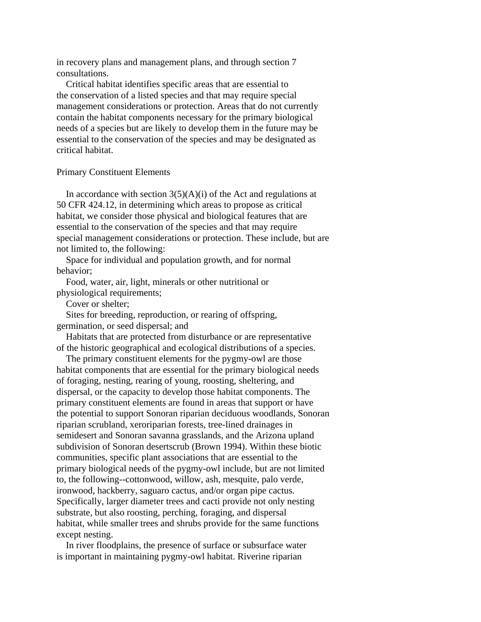in recovery plans and management plans, and through section 7 consultations.

 Critical habitat identifies specific areas that are essential to the conservation of a listed species and that may require special management considerations or protection. Areas that do not currently contain the habitat components necessary for the primary biological needs of a species but are likely to develop them in the future may be essential to the conservation of the species and may be designated as critical habitat.

#### Primary Constituent Elements

In accordance with section  $3(5)(A)(i)$  of the Act and regulations at 50 CFR 424.12, in determining which areas to propose as critical habitat, we consider those physical and biological features that are essential to the conservation of the species and that may require special management considerations or protection. These include, but are not limited to, the following:

 Space for individual and population growth, and for normal behavior;

 Food, water, air, light, minerals or other nutritional or physiological requirements;

Cover or shelter;

 Sites for breeding, reproduction, or rearing of offspring, germination, or seed dispersal; and

 Habitats that are protected from disturbance or are representative of the historic geographical and ecological distributions of a species.

 The primary constituent elements for the pygmy-owl are those habitat components that are essential for the primary biological needs of foraging, nesting, rearing of young, roosting, sheltering, and dispersal, or the capacity to develop those habitat components. The primary constituent elements are found in areas that support or have the potential to support Sonoran riparian deciduous woodlands, Sonoran riparian scrubland, xeroriparian forests, tree-lined drainages in semidesert and Sonoran savanna grasslands, and the Arizona upland subdivision of Sonoran desertscrub (Brown 1994). Within these biotic communities, specific plant associations that are essential to the primary biological needs of the pygmy-owl include, but are not limited to, the following--cottonwood, willow, ash, mesquite, palo verde, ironwood, hackberry, saguaro cactus, and/or organ pipe cactus. Specifically, larger diameter trees and cacti provide not only nesting substrate, but also roosting, perching, foraging, and dispersal habitat, while smaller trees and shrubs provide for the same functions except nesting.

 In river floodplains, the presence of surface or subsurface water is important in maintaining pygmy-owl habitat. Riverine riparian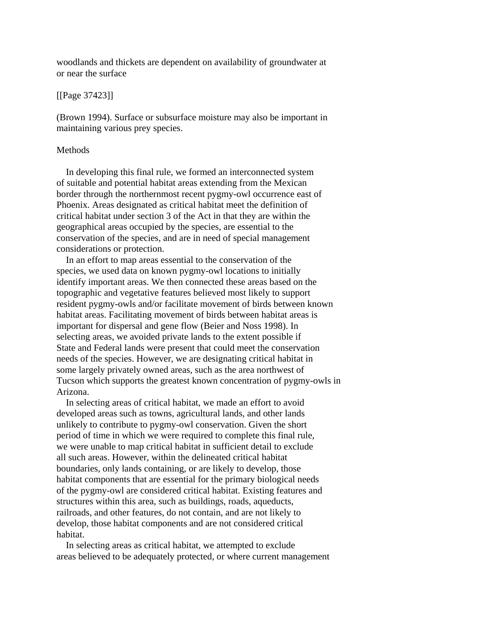woodlands and thickets are dependent on availability of groundwater at or near the surface

## [[Page 37423]]

(Brown 1994). Surface or subsurface moisture may also be important in maintaining various prey species.

### **Methods**

 In developing this final rule, we formed an interconnected system of suitable and potential habitat areas extending from the Mexican border through the northernmost recent pygmy-owl occurrence east of Phoenix. Areas designated as critical habitat meet the definition of critical habitat under section 3 of the Act in that they are within the geographical areas occupied by the species, are essential to the conservation of the species, and are in need of special management considerations or protection.

 In an effort to map areas essential to the conservation of the species, we used data on known pygmy-owl locations to initially identify important areas. We then connected these areas based on the topographic and vegetative features believed most likely to support resident pygmy-owls and/or facilitate movement of birds between known habitat areas. Facilitating movement of birds between habitat areas is important for dispersal and gene flow (Beier and Noss 1998). In selecting areas, we avoided private lands to the extent possible if State and Federal lands were present that could meet the conservation needs of the species. However, we are designating critical habitat in some largely privately owned areas, such as the area northwest of Tucson which supports the greatest known concentration of pygmy-owls in Arizona.

 In selecting areas of critical habitat, we made an effort to avoid developed areas such as towns, agricultural lands, and other lands unlikely to contribute to pygmy-owl conservation. Given the short period of time in which we were required to complete this final rule, we were unable to map critical habitat in sufficient detail to exclude all such areas. However, within the delineated critical habitat boundaries, only lands containing, or are likely to develop, those habitat components that are essential for the primary biological needs of the pygmy-owl are considered critical habitat. Existing features and structures within this area, such as buildings, roads, aqueducts, railroads, and other features, do not contain, and are not likely to develop, those habitat components and are not considered critical habitat.

 In selecting areas as critical habitat, we attempted to exclude areas believed to be adequately protected, or where current management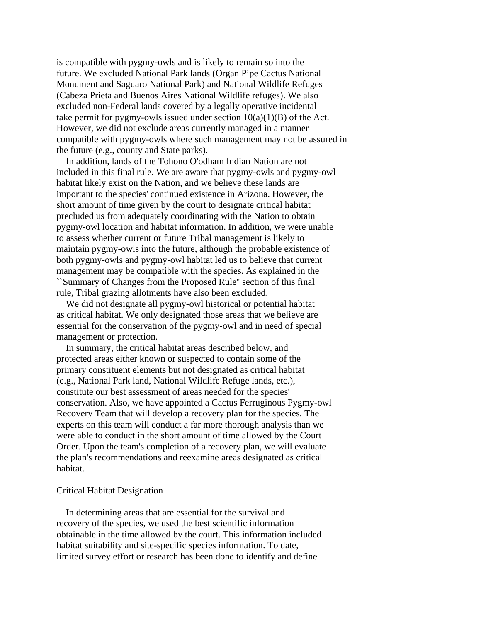is compatible with pygmy-owls and is likely to remain so into the future. We excluded National Park lands (Organ Pipe Cactus National Monument and Saguaro National Park) and National Wildlife Refuges (Cabeza Prieta and Buenos Aires National Wildlife refuges). We also excluded non-Federal lands covered by a legally operative incidental take permit for pygmy-owls issued under section  $10(a)(1)(B)$  of the Act. However, we did not exclude areas currently managed in a manner compatible with pygmy-owls where such management may not be assured in the future (e.g., county and State parks).

 In addition, lands of the Tohono O'odham Indian Nation are not included in this final rule. We are aware that pygmy-owls and pygmy-owl habitat likely exist on the Nation, and we believe these lands are important to the species' continued existence in Arizona. However, the short amount of time given by the court to designate critical habitat precluded us from adequately coordinating with the Nation to obtain pygmy-owl location and habitat information. In addition, we were unable to assess whether current or future Tribal management is likely to maintain pygmy-owls into the future, although the probable existence of both pygmy-owls and pygmy-owl habitat led us to believe that current management may be compatible with the species. As explained in the ``Summary of Changes from the Proposed Rule'' section of this final rule, Tribal grazing allotments have also been excluded.

 We did not designate all pygmy-owl historical or potential habitat as critical habitat. We only designated those areas that we believe are essential for the conservation of the pygmy-owl and in need of special management or protection.

 In summary, the critical habitat areas described below, and protected areas either known or suspected to contain some of the primary constituent elements but not designated as critical habitat (e.g., National Park land, National Wildlife Refuge lands, etc.), constitute our best assessment of areas needed for the species' conservation. Also, we have appointed a Cactus Ferruginous Pygmy-owl Recovery Team that will develop a recovery plan for the species. The experts on this team will conduct a far more thorough analysis than we were able to conduct in the short amount of time allowed by the Court Order. Upon the team's completion of a recovery plan, we will evaluate the plan's recommendations and reexamine areas designated as critical habitat.

#### Critical Habitat Designation

 In determining areas that are essential for the survival and recovery of the species, we used the best scientific information obtainable in the time allowed by the court. This information included habitat suitability and site-specific species information. To date, limited survey effort or research has been done to identify and define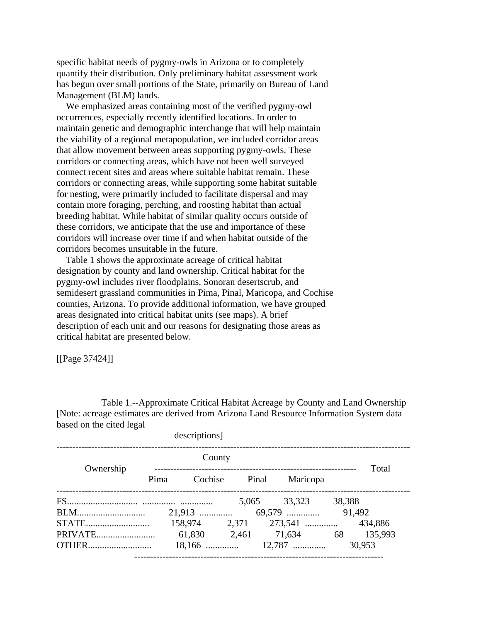specific habitat needs of pygmy-owls in Arizona or to completely quantify their distribution. Only preliminary habitat assessment work has begun over small portions of the State, primarily on Bureau of Land Management (BLM) lands.

 We emphasized areas containing most of the verified pygmy-owl occurrences, especially recently identified locations. In order to maintain genetic and demographic interchange that will help maintain the viability of a regional metapopulation, we included corridor areas that allow movement between areas supporting pygmy-owls. These corridors or connecting areas, which have not been well surveyed connect recent sites and areas where suitable habitat remain. These corridors or connecting areas, while supporting some habitat suitable for nesting, were primarily included to facilitate dispersal and may contain more foraging, perching, and roosting habitat than actual breeding habitat. While habitat of similar quality occurs outside of these corridors, we anticipate that the use and importance of these corridors will increase over time if and when habitat outside of the corridors becomes unsuitable in the future.

 Table 1 shows the approximate acreage of critical habitat designation by county and land ownership. Critical habitat for the pygmy-owl includes river floodplains, Sonoran desertscrub, and semidesert grassland communities in Pima, Pinal, Maricopa, and Cochise counties, Arizona. To provide additional information, we have grouped areas designated into critical habitat units (see maps). A brief description of each unit and our reasons for designating those areas as critical habitat are presented below.

[[Page 37424]]

 Table 1.--Approximate Critical Habitat Acreage by County and Land Ownership [Note: acreage estimates are derived from Arizona Land Resource Information System data based on the cited legal

|           |        | descriptions]                  |  |  |                        |         |
|-----------|--------|--------------------------------|--|--|------------------------|---------|
|           | County |                                |  |  |                        | Total   |
| Ownership | Pima   |                                |  |  | Cochise Pinal Maricopa |         |
|           |        |                                |  |  | 5,065 33,323 38,388    |         |
|           |        |                                |  |  |                        |         |
| STATE     |        |                                |  |  |                        | 434,886 |
|           |        | 61,830 2,461 71,634 68 135,993 |  |  |                        |         |
| OTHER     |        |                                |  |  |                        |         |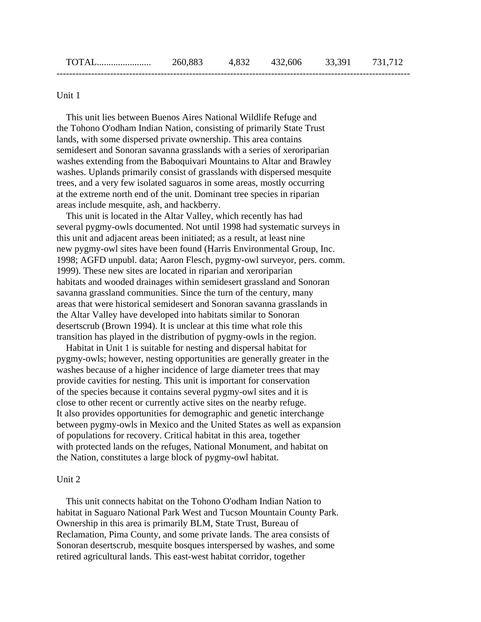## Unit 1

 This unit lies between Buenos Aires National Wildlife Refuge and the Tohono O'odham Indian Nation, consisting of primarily State Trust lands, with some dispersed private ownership. This area contains semidesert and Sonoran savanna grasslands with a series of xeroriparian washes extending from the Baboquivari Mountains to Altar and Brawley washes. Uplands primarily consist of grasslands with dispersed mesquite trees, and a very few isolated saguaros in some areas, mostly occurring at the extreme north end of the unit. Dominant tree species in riparian areas include mesquite, ash, and hackberry.

 This unit is located in the Altar Valley, which recently has had several pygmy-owls documented. Not until 1998 had systematic surveys in this unit and adjacent areas been initiated; as a result, at least nine new pygmy-owl sites have been found (Harris Environmental Group, Inc. 1998; AGFD unpubl. data; Aaron Flesch, pygmy-owl surveyor, pers. comm. 1999). These new sites are located in riparian and xeroriparian habitats and wooded drainages within semidesert grassland and Sonoran savanna grassland communities. Since the turn of the century, many areas that were historical semidesert and Sonoran savanna grasslands in the Altar Valley have developed into habitats similar to Sonoran desertscrub (Brown 1994). It is unclear at this time what role this transition has played in the distribution of pygmy-owls in the region.

 Habitat in Unit 1 is suitable for nesting and dispersal habitat for pygmy-owls; however, nesting opportunities are generally greater in the washes because of a higher incidence of large diameter trees that may provide cavities for nesting. This unit is important for conservation of the species because it contains several pygmy-owl sites and it is close to other recent or currently active sites on the nearby refuge. It also provides opportunities for demographic and genetic interchange between pygmy-owls in Mexico and the United States as well as expansion of populations for recovery. Critical habitat in this area, together with protected lands on the refuges, National Monument, and habitat on the Nation, constitutes a large block of pygmy-owl habitat.

#### Unit 2

 This unit connects habitat on the Tohono O'odham Indian Nation to habitat in Saguaro National Park West and Tucson Mountain County Park. Ownership in this area is primarily BLM, State Trust, Bureau of Reclamation, Pima County, and some private lands. The area consists of Sonoran desertscrub, mesquite bosques interspersed by washes, and some retired agricultural lands. This east-west habitat corridor, together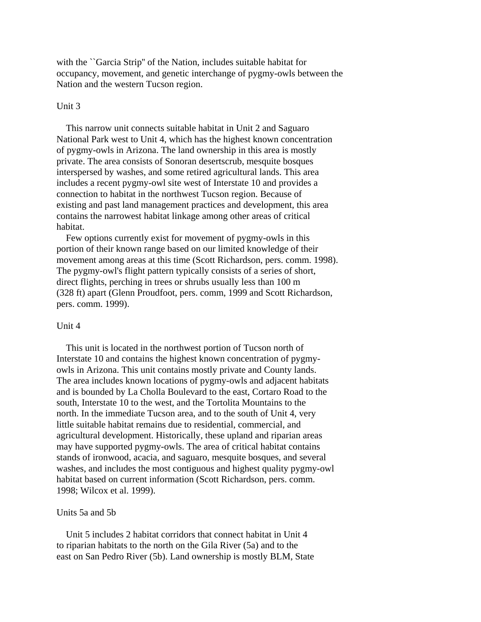with the "Garcia Strip" of the Nation, includes suitable habitat for occupancy, movement, and genetic interchange of pygmy-owls between the Nation and the western Tucson region.

### Unit 3

 This narrow unit connects suitable habitat in Unit 2 and Saguaro National Park west to Unit 4, which has the highest known concentration of pygmy-owls in Arizona. The land ownership in this area is mostly private. The area consists of Sonoran desertscrub, mesquite bosques interspersed by washes, and some retired agricultural lands. This area includes a recent pygmy-owl site west of Interstate 10 and provides a connection to habitat in the northwest Tucson region. Because of existing and past land management practices and development, this area contains the narrowest habitat linkage among other areas of critical habitat.

 Few options currently exist for movement of pygmy-owls in this portion of their known range based on our limited knowledge of their movement among areas at this time (Scott Richardson, pers. comm. 1998). The pygmy-owl's flight pattern typically consists of a series of short, direct flights, perching in trees or shrubs usually less than 100 m (328 ft) apart (Glenn Proudfoot, pers. comm, 1999 and Scott Richardson, pers. comm. 1999).

## Unit 4

 This unit is located in the northwest portion of Tucson north of Interstate 10 and contains the highest known concentration of pygmyowls in Arizona. This unit contains mostly private and County lands. The area includes known locations of pygmy-owls and adjacent habitats and is bounded by La Cholla Boulevard to the east, Cortaro Road to the south, Interstate 10 to the west, and the Tortolita Mountains to the north. In the immediate Tucson area, and to the south of Unit 4, very little suitable habitat remains due to residential, commercial, and agricultural development. Historically, these upland and riparian areas may have supported pygmy-owls. The area of critical habitat contains stands of ironwood, acacia, and saguaro, mesquite bosques, and several washes, and includes the most contiguous and highest quality pygmy-owl habitat based on current information (Scott Richardson, pers. comm. 1998; Wilcox et al. 1999).

#### Units 5a and 5b

 Unit 5 includes 2 habitat corridors that connect habitat in Unit 4 to riparian habitats to the north on the Gila River (5a) and to the east on San Pedro River (5b). Land ownership is mostly BLM, State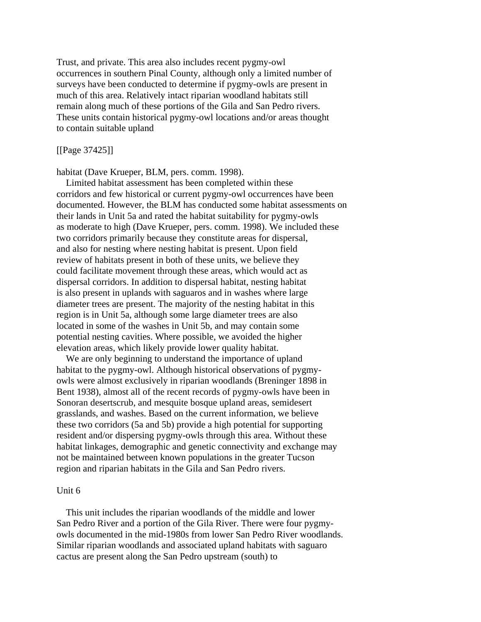Trust, and private. This area also includes recent pygmy-owl occurrences in southern Pinal County, although only a limited number of surveys have been conducted to determine if pygmy-owls are present in much of this area. Relatively intact riparian woodland habitats still remain along much of these portions of the Gila and San Pedro rivers. These units contain historical pygmy-owl locations and/or areas thought to contain suitable upland

[[Page 37425]]

habitat (Dave Krueper, BLM, pers. comm. 1998).

 Limited habitat assessment has been completed within these corridors and few historical or current pygmy-owl occurrences have been documented. However, the BLM has conducted some habitat assessments on their lands in Unit 5a and rated the habitat suitability for pygmy-owls as moderate to high (Dave Krueper, pers. comm. 1998). We included these two corridors primarily because they constitute areas for dispersal, and also for nesting where nesting habitat is present. Upon field review of habitats present in both of these units, we believe they could facilitate movement through these areas, which would act as dispersal corridors. In addition to dispersal habitat, nesting habitat is also present in uplands with saguaros and in washes where large diameter trees are present. The majority of the nesting habitat in this region is in Unit 5a, although some large diameter trees are also located in some of the washes in Unit 5b, and may contain some potential nesting cavities. Where possible, we avoided the higher elevation areas, which likely provide lower quality habitat.

 We are only beginning to understand the importance of upland habitat to the pygmy-owl. Although historical observations of pygmyowls were almost exclusively in riparian woodlands (Breninger 1898 in Bent 1938), almost all of the recent records of pygmy-owls have been in Sonoran desertscrub, and mesquite bosque upland areas, semidesert grasslands, and washes. Based on the current information, we believe these two corridors (5a and 5b) provide a high potential for supporting resident and/or dispersing pygmy-owls through this area. Without these habitat linkages, demographic and genetic connectivity and exchange may not be maintained between known populations in the greater Tucson region and riparian habitats in the Gila and San Pedro rivers.

#### Unit 6

 This unit includes the riparian woodlands of the middle and lower San Pedro River and a portion of the Gila River. There were four pygmyowls documented in the mid-1980s from lower San Pedro River woodlands. Similar riparian woodlands and associated upland habitats with saguaro cactus are present along the San Pedro upstream (south) to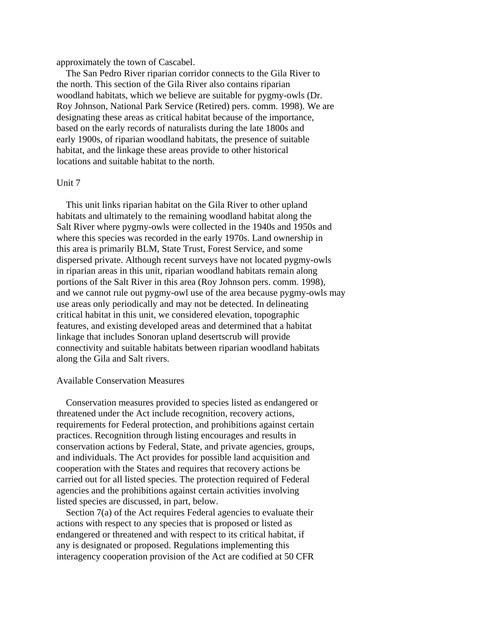approximately the town of Cascabel.

 The San Pedro River riparian corridor connects to the Gila River to the north. This section of the Gila River also contains riparian woodland habitats, which we believe are suitable for pygmy-owls (Dr. Roy Johnson, National Park Service (Retired) pers. comm. 1998). We are designating these areas as critical habitat because of the importance, based on the early records of naturalists during the late 1800s and early 1900s, of riparian woodland habitats, the presence of suitable habitat, and the linkage these areas provide to other historical locations and suitable habitat to the north.

#### Unit 7

 This unit links riparian habitat on the Gila River to other upland habitats and ultimately to the remaining woodland habitat along the Salt River where pygmy-owls were collected in the 1940s and 1950s and where this species was recorded in the early 1970s. Land ownership in this area is primarily BLM, State Trust, Forest Service, and some dispersed private. Although recent surveys have not located pygmy-owls in riparian areas in this unit, riparian woodland habitats remain along portions of the Salt River in this area (Roy Johnson pers. comm. 1998), and we cannot rule out pygmy-owl use of the area because pygmy-owls may use areas only periodically and may not be detected. In delineating critical habitat in this unit, we considered elevation, topographic features, and existing developed areas and determined that a habitat linkage that includes Sonoran upland desertscrub will provide connectivity and suitable habitats between riparian woodland habitats along the Gila and Salt rivers.

## Available Conservation Measures

 Conservation measures provided to species listed as endangered or threatened under the Act include recognition, recovery actions, requirements for Federal protection, and prohibitions against certain practices. Recognition through listing encourages and results in conservation actions by Federal, State, and private agencies, groups, and individuals. The Act provides for possible land acquisition and cooperation with the States and requires that recovery actions be carried out for all listed species. The protection required of Federal agencies and the prohibitions against certain activities involving listed species are discussed, in part, below.

Section 7(a) of the Act requires Federal agencies to evaluate their actions with respect to any species that is proposed or listed as endangered or threatened and with respect to its critical habitat, if any is designated or proposed. Regulations implementing this interagency cooperation provision of the Act are codified at 50 CFR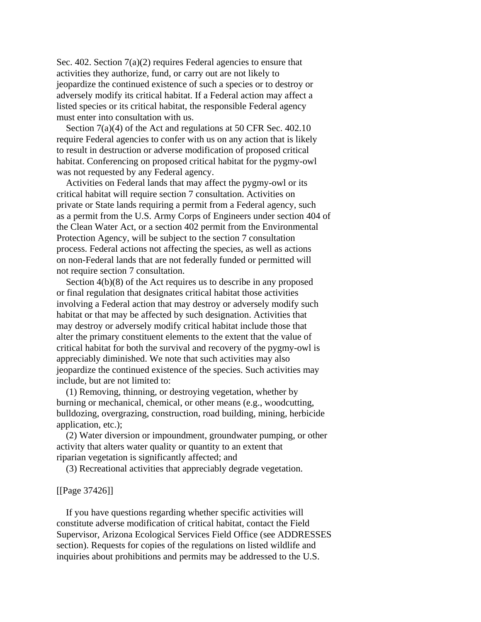Sec. 402. Section  $7(a)(2)$  requires Federal agencies to ensure that activities they authorize, fund, or carry out are not likely to jeopardize the continued existence of such a species or to destroy or adversely modify its critical habitat. If a Federal action may affect a listed species or its critical habitat, the responsible Federal agency must enter into consultation with us.

Section 7(a)(4) of the Act and regulations at 50 CFR Sec. 402.10 require Federal agencies to confer with us on any action that is likely to result in destruction or adverse modification of proposed critical habitat. Conferencing on proposed critical habitat for the pygmy-owl was not requested by any Federal agency.

 Activities on Federal lands that may affect the pygmy-owl or its critical habitat will require section 7 consultation. Activities on private or State lands requiring a permit from a Federal agency, such as a permit from the U.S. Army Corps of Engineers under section 404 of the Clean Water Act, or a section 402 permit from the Environmental Protection Agency, will be subject to the section 7 consultation process. Federal actions not affecting the species, as well as actions on non-Federal lands that are not federally funded or permitted will not require section 7 consultation.

 Section 4(b)(8) of the Act requires us to describe in any proposed or final regulation that designates critical habitat those activities involving a Federal action that may destroy or adversely modify such habitat or that may be affected by such designation. Activities that may destroy or adversely modify critical habitat include those that alter the primary constituent elements to the extent that the value of critical habitat for both the survival and recovery of the pygmy-owl is appreciably diminished. We note that such activities may also jeopardize the continued existence of the species. Such activities may include, but are not limited to:

 (1) Removing, thinning, or destroying vegetation, whether by burning or mechanical, chemical, or other means (e.g., woodcutting, bulldozing, overgrazing, construction, road building, mining, herbicide application, etc.);

 (2) Water diversion or impoundment, groundwater pumping, or other activity that alters water quality or quantity to an extent that riparian vegetation is significantly affected; and

(3) Recreational activities that appreciably degrade vegetation.

[[Page 37426]]

 If you have questions regarding whether specific activities will constitute adverse modification of critical habitat, contact the Field Supervisor, Arizona Ecological Services Field Office (see ADDRESSES section). Requests for copies of the regulations on listed wildlife and inquiries about prohibitions and permits may be addressed to the U.S.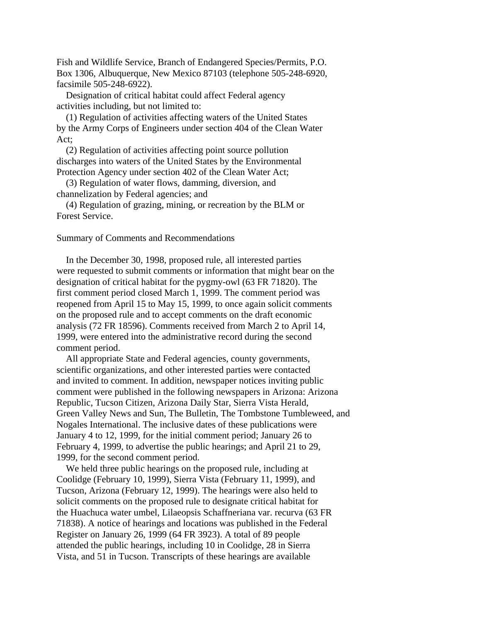Fish and Wildlife Service, Branch of Endangered Species/Permits, P.O. Box 1306, Albuquerque, New Mexico 87103 (telephone 505-248-6920, facsimile 505-248-6922).

 Designation of critical habitat could affect Federal agency activities including, but not limited to:

 (1) Regulation of activities affecting waters of the United States by the Army Corps of Engineers under section 404 of the Clean Water Act;

 (2) Regulation of activities affecting point source pollution discharges into waters of the United States by the Environmental Protection Agency under section 402 of the Clean Water Act;

 (3) Regulation of water flows, damming, diversion, and channelization by Federal agencies; and

 (4) Regulation of grazing, mining, or recreation by the BLM or Forest Service.

Summary of Comments and Recommendations

 In the December 30, 1998, proposed rule, all interested parties were requested to submit comments or information that might bear on the designation of critical habitat for the pygmy-owl (63 FR 71820). The first comment period closed March 1, 1999. The comment period was reopened from April 15 to May 15, 1999, to once again solicit comments on the proposed rule and to accept comments on the draft economic analysis (72 FR 18596). Comments received from March 2 to April 14, 1999, were entered into the administrative record during the second comment period.

 All appropriate State and Federal agencies, county governments, scientific organizations, and other interested parties were contacted and invited to comment. In addition, newspaper notices inviting public comment were published in the following newspapers in Arizona: Arizona Republic, Tucson Citizen, Arizona Daily Star, Sierra Vista Herald, Green Valley News and Sun, The Bulletin, The Tombstone Tumbleweed, and Nogales International. The inclusive dates of these publications were January 4 to 12, 1999, for the initial comment period; January 26 to February 4, 1999, to advertise the public hearings; and April 21 to 29, 1999, for the second comment period.

 We held three public hearings on the proposed rule, including at Coolidge (February 10, 1999), Sierra Vista (February 11, 1999), and Tucson, Arizona (February 12, 1999). The hearings were also held to solicit comments on the proposed rule to designate critical habitat for the Huachuca water umbel, Lilaeopsis Schaffneriana var. recurva (63 FR 71838). A notice of hearings and locations was published in the Federal Register on January 26, 1999 (64 FR 3923). A total of 89 people attended the public hearings, including 10 in Coolidge, 28 in Sierra Vista, and 51 in Tucson. Transcripts of these hearings are available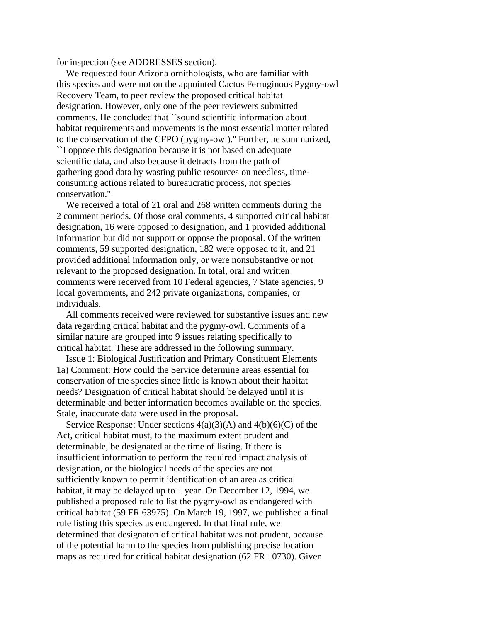for inspection (see ADDRESSES section).

 We requested four Arizona ornithologists, who are familiar with this species and were not on the appointed Cactus Ferruginous Pygmy-owl Recovery Team, to peer review the proposed critical habitat designation. However, only one of the peer reviewers submitted comments. He concluded that ``sound scientific information about habitat requirements and movements is the most essential matter related to the conservation of the CFPO (pygmy-owl).'' Further, he summarized, ``I oppose this designation because it is not based on adequate scientific data, and also because it detracts from the path of gathering good data by wasting public resources on needless, timeconsuming actions related to bureaucratic process, not species conservation.''

 We received a total of 21 oral and 268 written comments during the 2 comment periods. Of those oral comments, 4 supported critical habitat designation, 16 were opposed to designation, and 1 provided additional information but did not support or oppose the proposal. Of the written comments, 59 supported designation, 182 were opposed to it, and 21 provided additional information only, or were nonsubstantive or not relevant to the proposed designation. In total, oral and written comments were received from 10 Federal agencies, 7 State agencies, 9 local governments, and 242 private organizations, companies, or individuals.

 All comments received were reviewed for substantive issues and new data regarding critical habitat and the pygmy-owl. Comments of a similar nature are grouped into 9 issues relating specifically to critical habitat. These are addressed in the following summary.

 Issue 1: Biological Justification and Primary Constituent Elements 1a) Comment: How could the Service determine areas essential for conservation of the species since little is known about their habitat needs? Designation of critical habitat should be delayed until it is determinable and better information becomes available on the species. Stale, inaccurate data were used in the proposal.

Service Response: Under sections  $4(a)(3)(A)$  and  $4(b)(6)(C)$  of the Act, critical habitat must, to the maximum extent prudent and determinable, be designated at the time of listing. If there is insufficient information to perform the required impact analysis of designation, or the biological needs of the species are not sufficiently known to permit identification of an area as critical habitat, it may be delayed up to 1 year. On December 12, 1994, we published a proposed rule to list the pygmy-owl as endangered with critical habitat (59 FR 63975). On March 19, 1997, we published a final rule listing this species as endangered. In that final rule, we determined that designaton of critical habitat was not prudent, because of the potential harm to the species from publishing precise location maps as required for critical habitat designation (62 FR 10730). Given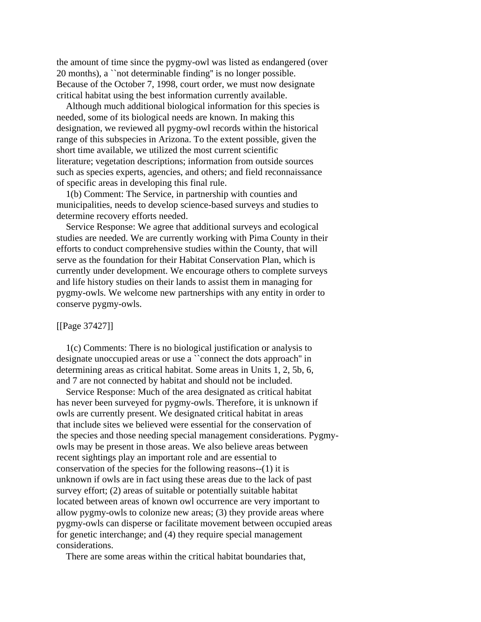the amount of time since the pygmy-owl was listed as endangered (over 20 months), a ``not determinable finding'' is no longer possible. Because of the October 7, 1998, court order, we must now designate critical habitat using the best information currently available.

 Although much additional biological information for this species is needed, some of its biological needs are known. In making this designation, we reviewed all pygmy-owl records within the historical range of this subspecies in Arizona. To the extent possible, given the short time available, we utilized the most current scientific literature; vegetation descriptions; information from outside sources such as species experts, agencies, and others; and field reconnaissance of specific areas in developing this final rule.

 1(b) Comment: The Service, in partnership with counties and municipalities, needs to develop science-based surveys and studies to determine recovery efforts needed.

 Service Response: We agree that additional surveys and ecological studies are needed. We are currently working with Pima County in their efforts to conduct comprehensive studies within the County, that will serve as the foundation for their Habitat Conservation Plan, which is currently under development. We encourage others to complete surveys and life history studies on their lands to assist them in managing for pygmy-owls. We welcome new partnerships with any entity in order to conserve pygmy-owls.

### [[Page 37427]]

 1(c) Comments: There is no biological justification or analysis to designate unoccupied areas or use a ``connect the dots approach'' in determining areas as critical habitat. Some areas in Units 1, 2, 5b, 6, and 7 are not connected by habitat and should not be included.

 Service Response: Much of the area designated as critical habitat has never been surveyed for pygmy-owls. Therefore, it is unknown if owls are currently present. We designated critical habitat in areas that include sites we believed were essential for the conservation of the species and those needing special management considerations. Pygmyowls may be present in those areas. We also believe areas between recent sightings play an important role and are essential to conservation of the species for the following reasons--(1) it is unknown if owls are in fact using these areas due to the lack of past survey effort; (2) areas of suitable or potentially suitable habitat located between areas of known owl occurrence are very important to allow pygmy-owls to colonize new areas; (3) they provide areas where pygmy-owls can disperse or facilitate movement between occupied areas for genetic interchange; and (4) they require special management considerations.

There are some areas within the critical habitat boundaries that,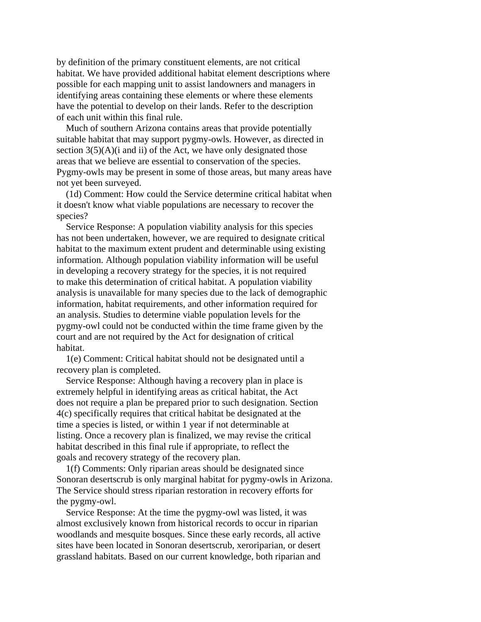by definition of the primary constituent elements, are not critical habitat. We have provided additional habitat element descriptions where possible for each mapping unit to assist landowners and managers in identifying areas containing these elements or where these elements have the potential to develop on their lands. Refer to the description of each unit within this final rule.

 Much of southern Arizona contains areas that provide potentially suitable habitat that may support pygmy-owls. However, as directed in section 3(5)(A)(i and ii) of the Act, we have only designated those areas that we believe are essential to conservation of the species. Pygmy-owls may be present in some of those areas, but many areas have not yet been surveyed.

 (1d) Comment: How could the Service determine critical habitat when it doesn't know what viable populations are necessary to recover the species?

 Service Response: A population viability analysis for this species has not been undertaken, however, we are required to designate critical habitat to the maximum extent prudent and determinable using existing information. Although population viability information will be useful in developing a recovery strategy for the species, it is not required to make this determination of critical habitat. A population viability analysis is unavailable for many species due to the lack of demographic information, habitat requirements, and other information required for an analysis. Studies to determine viable population levels for the pygmy-owl could not be conducted within the time frame given by the court and are not required by the Act for designation of critical habitat.

 1(e) Comment: Critical habitat should not be designated until a recovery plan is completed.

 Service Response: Although having a recovery plan in place is extremely helpful in identifying areas as critical habitat, the Act does not require a plan be prepared prior to such designation. Section 4(c) specifically requires that critical habitat be designated at the time a species is listed, or within 1 year if not determinable at listing. Once a recovery plan is finalized, we may revise the critical habitat described in this final rule if appropriate, to reflect the goals and recovery strategy of the recovery plan.

 1(f) Comments: Only riparian areas should be designated since Sonoran desertscrub is only marginal habitat for pygmy-owls in Arizona. The Service should stress riparian restoration in recovery efforts for the pygmy-owl.

 Service Response: At the time the pygmy-owl was listed, it was almost exclusively known from historical records to occur in riparian woodlands and mesquite bosques. Since these early records, all active sites have been located in Sonoran desertscrub, xeroriparian, or desert grassland habitats. Based on our current knowledge, both riparian and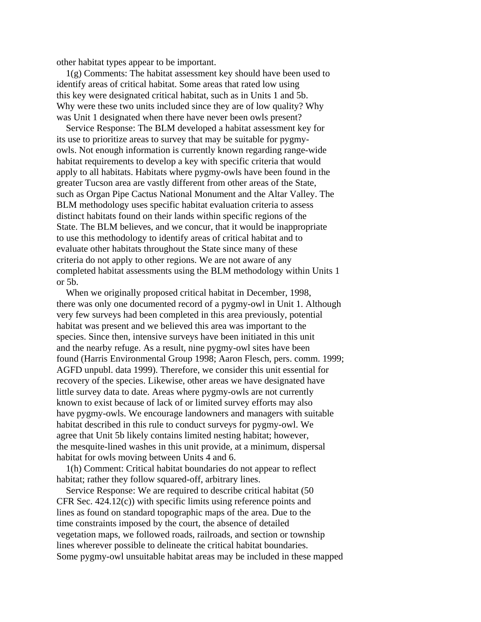other habitat types appear to be important.

 1(g) Comments: The habitat assessment key should have been used to identify areas of critical habitat. Some areas that rated low using this key were designated critical habitat, such as in Units 1 and 5b. Why were these two units included since they are of low quality? Why was Unit 1 designated when there have never been owls present?

 Service Response: The BLM developed a habitat assessment key for its use to prioritize areas to survey that may be suitable for pygmyowls. Not enough information is currently known regarding range-wide habitat requirements to develop a key with specific criteria that would apply to all habitats. Habitats where pygmy-owls have been found in the greater Tucson area are vastly different from other areas of the State, such as Organ Pipe Cactus National Monument and the Altar Valley. The BLM methodology uses specific habitat evaluation criteria to assess distinct habitats found on their lands within specific regions of the State. The BLM believes, and we concur, that it would be inappropriate to use this methodology to identify areas of critical habitat and to evaluate other habitats throughout the State since many of these criteria do not apply to other regions. We are not aware of any completed habitat assessments using the BLM methodology within Units 1 or 5b.

 When we originally proposed critical habitat in December, 1998, there was only one documented record of a pygmy-owl in Unit 1. Although very few surveys had been completed in this area previously, potential habitat was present and we believed this area was important to the species. Since then, intensive surveys have been initiated in this unit and the nearby refuge. As a result, nine pygmy-owl sites have been found (Harris Environmental Group 1998; Aaron Flesch, pers. comm. 1999; AGFD unpubl. data 1999). Therefore, we consider this unit essential for recovery of the species. Likewise, other areas we have designated have little survey data to date. Areas where pygmy-owls are not currently known to exist because of lack of or limited survey efforts may also have pygmy-owls. We encourage landowners and managers with suitable habitat described in this rule to conduct surveys for pygmy-owl. We agree that Unit 5b likely contains limited nesting habitat; however, the mesquite-lined washes in this unit provide, at a minimum, dispersal habitat for owls moving between Units 4 and 6.

 1(h) Comment: Critical habitat boundaries do not appear to reflect habitat; rather they follow squared-off, arbitrary lines.

 Service Response: We are required to describe critical habitat (50 CFR Sec. 424.12(c)) with specific limits using reference points and lines as found on standard topographic maps of the area. Due to the time constraints imposed by the court, the absence of detailed vegetation maps, we followed roads, railroads, and section or township lines wherever possible to delineate the critical habitat boundaries. Some pygmy-owl unsuitable habitat areas may be included in these mapped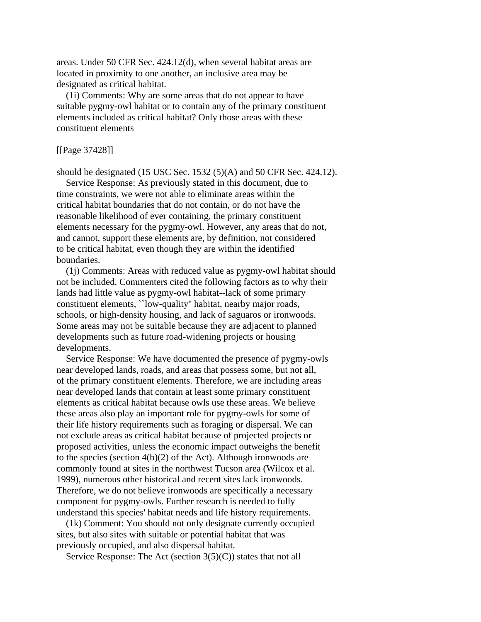areas. Under 50 CFR Sec. 424.12(d), when several habitat areas are located in proximity to one another, an inclusive area may be designated as critical habitat.

 (1i) Comments: Why are some areas that do not appear to have suitable pygmy-owl habitat or to contain any of the primary constituent elements included as critical habitat? Only those areas with these constituent elements

[[Page 37428]]

should be designated (15 USC Sec. 1532 (5)(A) and 50 CFR Sec. 424.12).

 Service Response: As previously stated in this document, due to time constraints, we were not able to eliminate areas within the critical habitat boundaries that do not contain, or do not have the reasonable likelihood of ever containing, the primary constituent elements necessary for the pygmy-owl. However, any areas that do not, and cannot, support these elements are, by definition, not considered to be critical habitat, even though they are within the identified boundaries.

 (1j) Comments: Areas with reduced value as pygmy-owl habitat should not be included. Commenters cited the following factors as to why their lands had little value as pygmy-owl habitat--lack of some primary constituent elements, ``low-quality'' habitat, nearby major roads, schools, or high-density housing, and lack of saguaros or ironwoods. Some areas may not be suitable because they are adjacent to planned developments such as future road-widening projects or housing developments.

 Service Response: We have documented the presence of pygmy-owls near developed lands, roads, and areas that possess some, but not all, of the primary constituent elements. Therefore, we are including areas near developed lands that contain at least some primary constituent elements as critical habitat because owls use these areas. We believe these areas also play an important role for pygmy-owls for some of their life history requirements such as foraging or dispersal. We can not exclude areas as critical habitat because of projected projects or proposed activities, unless the economic impact outweighs the benefit to the species (section  $4(b)(2)$  of the Act). Although ironwoods are commonly found at sites in the northwest Tucson area (Wilcox et al. 1999), numerous other historical and recent sites lack ironwoods. Therefore, we do not believe ironwoods are specifically a necessary component for pygmy-owls. Further research is needed to fully understand this species' habitat needs and life history requirements.

 (1k) Comment: You should not only designate currently occupied sites, but also sites with suitable or potential habitat that was previously occupied, and also dispersal habitat.

Service Response: The Act (section  $3(5)(C)$ ) states that not all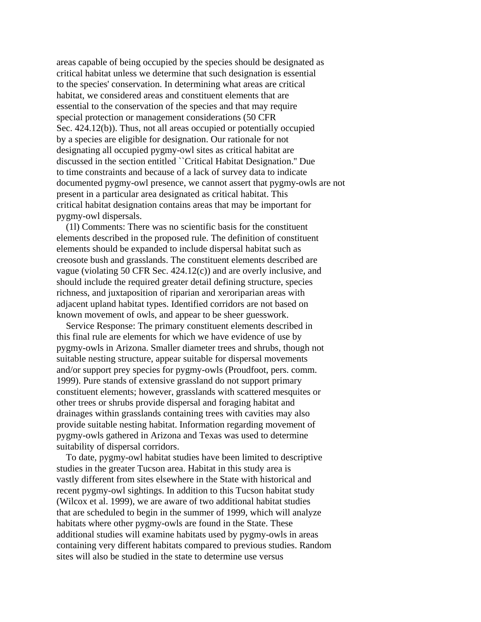areas capable of being occupied by the species should be designated as critical habitat unless we determine that such designation is essential to the species' conservation. In determining what areas are critical habitat, we considered areas and constituent elements that are essential to the conservation of the species and that may require special protection or management considerations (50 CFR Sec. 424.12(b)). Thus, not all areas occupied or potentially occupied by a species are eligible for designation. Our rationale for not designating all occupied pygmy-owl sites as critical habitat are discussed in the section entitled ``Critical Habitat Designation.'' Due to time constraints and because of a lack of survey data to indicate documented pygmy-owl presence, we cannot assert that pygmy-owls are not present in a particular area designated as critical habitat. This critical habitat designation contains areas that may be important for pygmy-owl dispersals.

 (1l) Comments: There was no scientific basis for the constituent elements described in the proposed rule. The definition of constituent elements should be expanded to include dispersal habitat such as creosote bush and grasslands. The constituent elements described are vague (violating 50 CFR Sec. 424.12(c)) and are overly inclusive, and should include the required greater detail defining structure, species richness, and juxtaposition of riparian and xeroriparian areas with adjacent upland habitat types. Identified corridors are not based on known movement of owls, and appear to be sheer guesswork.

 Service Response: The primary constituent elements described in this final rule are elements for which we have evidence of use by pygmy-owls in Arizona. Smaller diameter trees and shrubs, though not suitable nesting structure, appear suitable for dispersal movements and/or support prey species for pygmy-owls (Proudfoot, pers. comm. 1999). Pure stands of extensive grassland do not support primary constituent elements; however, grasslands with scattered mesquites or other trees or shrubs provide dispersal and foraging habitat and drainages within grasslands containing trees with cavities may also provide suitable nesting habitat. Information regarding movement of pygmy-owls gathered in Arizona and Texas was used to determine suitability of dispersal corridors.

 To date, pygmy-owl habitat studies have been limited to descriptive studies in the greater Tucson area. Habitat in this study area is vastly different from sites elsewhere in the State with historical and recent pygmy-owl sightings. In addition to this Tucson habitat study (Wilcox et al. 1999), we are aware of two additional habitat studies that are scheduled to begin in the summer of 1999, which will analyze habitats where other pygmy-owls are found in the State. These additional studies will examine habitats used by pygmy-owls in areas containing very different habitats compared to previous studies. Random sites will also be studied in the state to determine use versus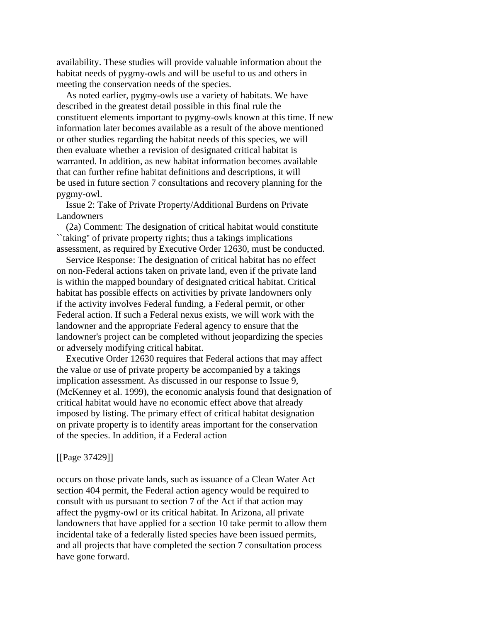availability. These studies will provide valuable information about the habitat needs of pygmy-owls and will be useful to us and others in meeting the conservation needs of the species.

 As noted earlier, pygmy-owls use a variety of habitats. We have described in the greatest detail possible in this final rule the constituent elements important to pygmy-owls known at this time. If new information later becomes available as a result of the above mentioned or other studies regarding the habitat needs of this species, we will then evaluate whether a revision of designated critical habitat is warranted. In addition, as new habitat information becomes available that can further refine habitat definitions and descriptions, it will be used in future section 7 consultations and recovery planning for the pygmy-owl.

 Issue 2: Take of Private Property/Additional Burdens on Private Landowners

 (2a) Comment: The designation of critical habitat would constitute ``taking'' of private property rights; thus a takings implications assessment, as required by Executive Order 12630, must be conducted.

 Service Response: The designation of critical habitat has no effect on non-Federal actions taken on private land, even if the private land is within the mapped boundary of designated critical habitat. Critical habitat has possible effects on activities by private landowners only if the activity involves Federal funding, a Federal permit, or other Federal action. If such a Federal nexus exists, we will work with the landowner and the appropriate Federal agency to ensure that the landowner's project can be completed without jeopardizing the species or adversely modifying critical habitat.

 Executive Order 12630 requires that Federal actions that may affect the value or use of private property be accompanied by a takings implication assessment. As discussed in our response to Issue 9, (McKenney et al. 1999), the economic analysis found that designation of critical habitat would have no economic effect above that already imposed by listing. The primary effect of critical habitat designation on private property is to identify areas important for the conservation of the species. In addition, if a Federal action

## [[Page 37429]]

occurs on those private lands, such as issuance of a Clean Water Act section 404 permit, the Federal action agency would be required to consult with us pursuant to section 7 of the Act if that action may affect the pygmy-owl or its critical habitat. In Arizona, all private landowners that have applied for a section 10 take permit to allow them incidental take of a federally listed species have been issued permits, and all projects that have completed the section 7 consultation process have gone forward.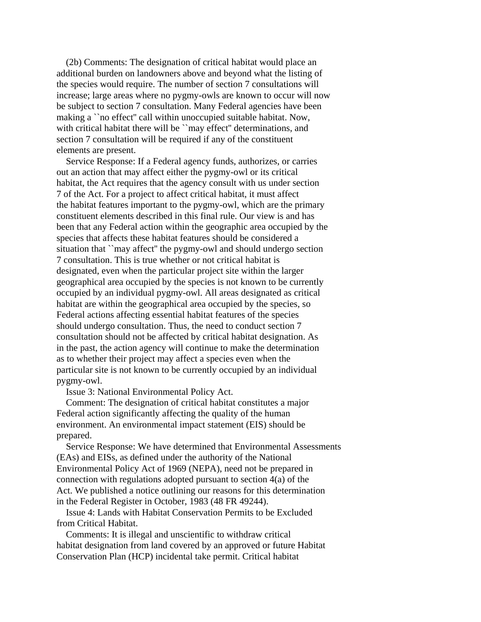(2b) Comments: The designation of critical habitat would place an additional burden on landowners above and beyond what the listing of the species would require. The number of section 7 consultations will increase; large areas where no pygmy-owls are known to occur will now be subject to section 7 consultation. Many Federal agencies have been making a ''no effect'' call within unoccupied suitable habitat. Now, with critical habitat there will be ``may effect" determinations, and section 7 consultation will be required if any of the constituent elements are present.

 Service Response: If a Federal agency funds, authorizes, or carries out an action that may affect either the pygmy-owl or its critical habitat, the Act requires that the agency consult with us under section 7 of the Act. For a project to affect critical habitat, it must affect the habitat features important to the pygmy-owl, which are the primary constituent elements described in this final rule. Our view is and has been that any Federal action within the geographic area occupied by the species that affects these habitat features should be considered a situation that ``may affect'' the pygmy-owl and should undergo section 7 consultation. This is true whether or not critical habitat is designated, even when the particular project site within the larger geographical area occupied by the species is not known to be currently occupied by an individual pygmy-owl. All areas designated as critical habitat are within the geographical area occupied by the species, so Federal actions affecting essential habitat features of the species should undergo consultation. Thus, the need to conduct section 7 consultation should not be affected by critical habitat designation. As in the past, the action agency will continue to make the determination as to whether their project may affect a species even when the particular site is not known to be currently occupied by an individual pygmy-owl.

Issue 3: National Environmental Policy Act.

 Comment: The designation of critical habitat constitutes a major Federal action significantly affecting the quality of the human environment. An environmental impact statement (EIS) should be prepared.

 Service Response: We have determined that Environmental Assessments (EAs) and EISs, as defined under the authority of the National Environmental Policy Act of 1969 (NEPA), need not be prepared in connection with regulations adopted pursuant to section 4(a) of the Act. We published a notice outlining our reasons for this determination in the Federal Register in October, 1983 (48 FR 49244).

 Issue 4: Lands with Habitat Conservation Permits to be Excluded from Critical Habitat.

 Comments: It is illegal and unscientific to withdraw critical habitat designation from land covered by an approved or future Habitat Conservation Plan (HCP) incidental take permit. Critical habitat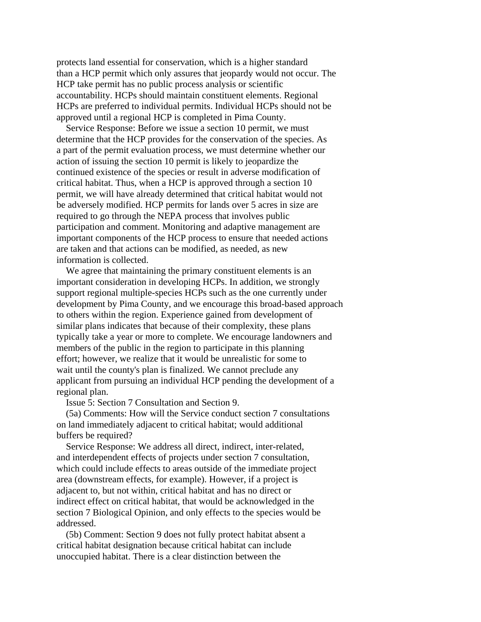protects land essential for conservation, which is a higher standard than a HCP permit which only assures that jeopardy would not occur. The HCP take permit has no public process analysis or scientific accountability. HCPs should maintain constituent elements. Regional HCPs are preferred to individual permits. Individual HCPs should not be approved until a regional HCP is completed in Pima County.

 Service Response: Before we issue a section 10 permit, we must determine that the HCP provides for the conservation of the species. As a part of the permit evaluation process, we must determine whether our action of issuing the section 10 permit is likely to jeopardize the continued existence of the species or result in adverse modification of critical habitat. Thus, when a HCP is approved through a section 10 permit, we will have already determined that critical habitat would not be adversely modified. HCP permits for lands over 5 acres in size are required to go through the NEPA process that involves public participation and comment. Monitoring and adaptive management are important components of the HCP process to ensure that needed actions are taken and that actions can be modified, as needed, as new information is collected.

 We agree that maintaining the primary constituent elements is an important consideration in developing HCPs. In addition, we strongly support regional multiple-species HCPs such as the one currently under development by Pima County, and we encourage this broad-based approach to others within the region. Experience gained from development of similar plans indicates that because of their complexity, these plans typically take a year or more to complete. We encourage landowners and members of the public in the region to participate in this planning effort; however, we realize that it would be unrealistic for some to wait until the county's plan is finalized. We cannot preclude any applicant from pursuing an individual HCP pending the development of a regional plan.

Issue 5: Section 7 Consultation and Section 9.

 (5a) Comments: How will the Service conduct section 7 consultations on land immediately adjacent to critical habitat; would additional buffers be required?

 Service Response: We address all direct, indirect, inter-related, and interdependent effects of projects under section 7 consultation, which could include effects to areas outside of the immediate project area (downstream effects, for example). However, if a project is adjacent to, but not within, critical habitat and has no direct or indirect effect on critical habitat, that would be acknowledged in the section 7 Biological Opinion, and only effects to the species would be addressed.

 (5b) Comment: Section 9 does not fully protect habitat absent a critical habitat designation because critical habitat can include unoccupied habitat. There is a clear distinction between the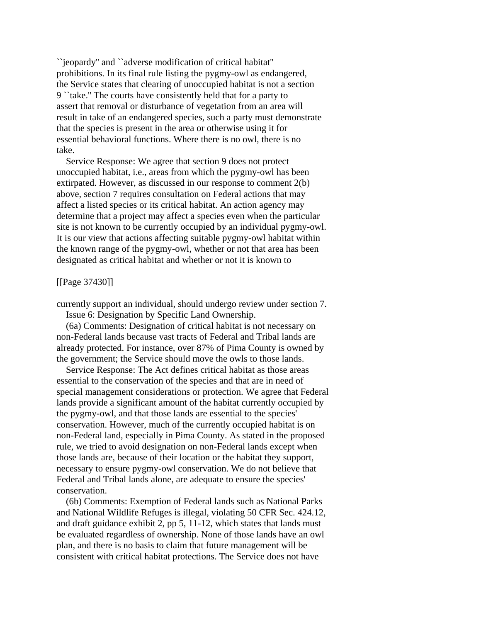``jeopardy'' and ``adverse modification of critical habitat'' prohibitions. In its final rule listing the pygmy-owl as endangered, the Service states that clearing of unoccupied habitat is not a section 9 ``take.'' The courts have consistently held that for a party to assert that removal or disturbance of vegetation from an area will result in take of an endangered species, such a party must demonstrate that the species is present in the area or otherwise using it for essential behavioral functions. Where there is no owl, there is no take.

 Service Response: We agree that section 9 does not protect unoccupied habitat, i.e., areas from which the pygmy-owl has been extirpated. However, as discussed in our response to comment 2(b) above, section 7 requires consultation on Federal actions that may affect a listed species or its critical habitat. An action agency may determine that a project may affect a species even when the particular site is not known to be currently occupied by an individual pygmy-owl. It is our view that actions affecting suitable pygmy-owl habitat within the known range of the pygmy-owl, whether or not that area has been designated as critical habitat and whether or not it is known to

## [[Page 37430]]

currently support an individual, should undergo review under section 7. Issue 6: Designation by Specific Land Ownership.

 (6a) Comments: Designation of critical habitat is not necessary on non-Federal lands because vast tracts of Federal and Tribal lands are already protected. For instance, over 87% of Pima County is owned by the government; the Service should move the owls to those lands.

 Service Response: The Act defines critical habitat as those areas essential to the conservation of the species and that are in need of special management considerations or protection. We agree that Federal lands provide a significant amount of the habitat currently occupied by the pygmy-owl, and that those lands are essential to the species' conservation. However, much of the currently occupied habitat is on non-Federal land, especially in Pima County. As stated in the proposed rule, we tried to avoid designation on non-Federal lands except when those lands are, because of their location or the habitat they support, necessary to ensure pygmy-owl conservation. We do not believe that Federal and Tribal lands alone, are adequate to ensure the species' conservation.

 (6b) Comments: Exemption of Federal lands such as National Parks and National Wildlife Refuges is illegal, violating 50 CFR Sec. 424.12, and draft guidance exhibit 2, pp 5, 11-12, which states that lands must be evaluated regardless of ownership. None of those lands have an owl plan, and there is no basis to claim that future management will be consistent with critical habitat protections. The Service does not have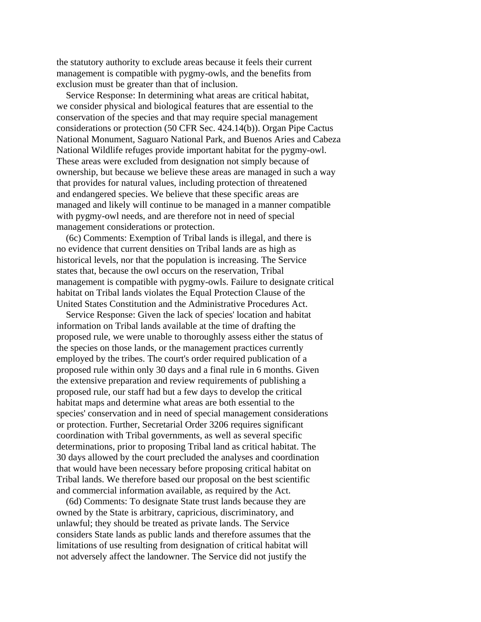the statutory authority to exclude areas because it feels their current management is compatible with pygmy-owls, and the benefits from exclusion must be greater than that of inclusion.

 Service Response: In determining what areas are critical habitat, we consider physical and biological features that are essential to the conservation of the species and that may require special management considerations or protection (50 CFR Sec. 424.14(b)). Organ Pipe Cactus National Monument, Saguaro National Park, and Buenos Aries and Cabeza National Wildlife refuges provide important habitat for the pygmy-owl. These areas were excluded from designation not simply because of ownership, but because we believe these areas are managed in such a way that provides for natural values, including protection of threatened and endangered species. We believe that these specific areas are managed and likely will continue to be managed in a manner compatible with pygmy-owl needs, and are therefore not in need of special management considerations or protection.

 (6c) Comments: Exemption of Tribal lands is illegal, and there is no evidence that current densities on Tribal lands are as high as historical levels, nor that the population is increasing. The Service states that, because the owl occurs on the reservation, Tribal management is compatible with pygmy-owls. Failure to designate critical habitat on Tribal lands violates the Equal Protection Clause of the United States Constitution and the Administrative Procedures Act.

 Service Response: Given the lack of species' location and habitat information on Tribal lands available at the time of drafting the proposed rule, we were unable to thoroughly assess either the status of the species on those lands, or the management practices currently employed by the tribes. The court's order required publication of a proposed rule within only 30 days and a final rule in 6 months. Given the extensive preparation and review requirements of publishing a proposed rule, our staff had but a few days to develop the critical habitat maps and determine what areas are both essential to the species' conservation and in need of special management considerations or protection. Further, Secretarial Order 3206 requires significant coordination with Tribal governments, as well as several specific determinations, prior to proposing Tribal land as critical habitat. The 30 days allowed by the court precluded the analyses and coordination that would have been necessary before proposing critical habitat on Tribal lands. We therefore based our proposal on the best scientific and commercial information available, as required by the Act.

 (6d) Comments: To designate State trust lands because they are owned by the State is arbitrary, capricious, discriminatory, and unlawful; they should be treated as private lands. The Service considers State lands as public lands and therefore assumes that the limitations of use resulting from designation of critical habitat will not adversely affect the landowner. The Service did not justify the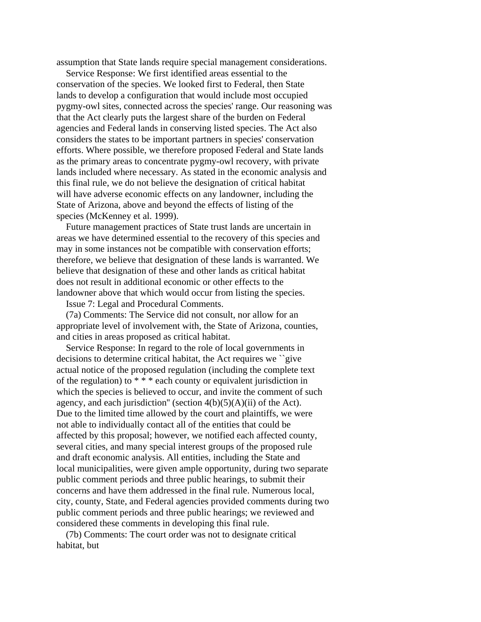assumption that State lands require special management considerations.

 Service Response: We first identified areas essential to the conservation of the species. We looked first to Federal, then State lands to develop a configuration that would include most occupied pygmy-owl sites, connected across the species' range. Our reasoning was that the Act clearly puts the largest share of the burden on Federal agencies and Federal lands in conserving listed species. The Act also considers the states to be important partners in species' conservation efforts. Where possible, we therefore proposed Federal and State lands as the primary areas to concentrate pygmy-owl recovery, with private lands included where necessary. As stated in the economic analysis and this final rule, we do not believe the designation of critical habitat will have adverse economic effects on any landowner, including the State of Arizona, above and beyond the effects of listing of the species (McKenney et al. 1999).

 Future management practices of State trust lands are uncertain in areas we have determined essential to the recovery of this species and may in some instances not be compatible with conservation efforts; therefore, we believe that designation of these lands is warranted. We believe that designation of these and other lands as critical habitat does not result in additional economic or other effects to the landowner above that which would occur from listing the species.

Issue 7: Legal and Procedural Comments.

 (7a) Comments: The Service did not consult, nor allow for an appropriate level of involvement with, the State of Arizona, counties, and cities in areas proposed as critical habitat.

 Service Response: In regard to the role of local governments in decisions to determine critical habitat, the Act requires we ``give actual notice of the proposed regulation (including the complete text of the regulation) to \* \* \* each county or equivalent jurisdiction in which the species is believed to occur, and invite the comment of such agency, and each jurisdiction" (section  $4(b)(5)(A)(ii)$  of the Act). Due to the limited time allowed by the court and plaintiffs, we were not able to individually contact all of the entities that could be affected by this proposal; however, we notified each affected county, several cities, and many special interest groups of the proposed rule and draft economic analysis. All entities, including the State and local municipalities, were given ample opportunity, during two separate public comment periods and three public hearings, to submit their concerns and have them addressed in the final rule. Numerous local, city, county, State, and Federal agencies provided comments during two public comment periods and three public hearings; we reviewed and considered these comments in developing this final rule.

 (7b) Comments: The court order was not to designate critical habitat, but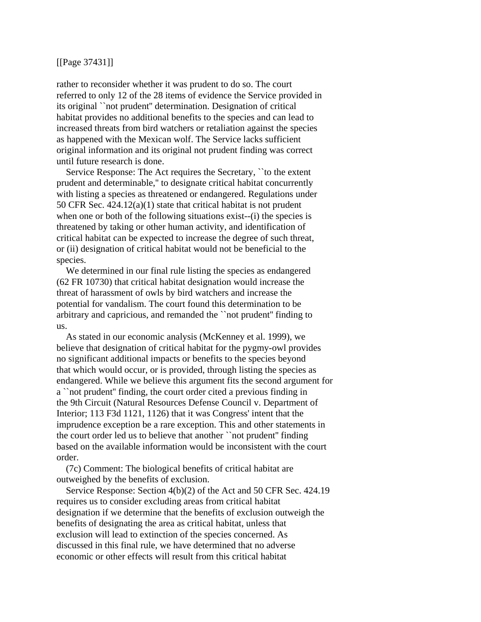### [[Page 37431]]

rather to reconsider whether it was prudent to do so. The court referred to only 12 of the 28 items of evidence the Service provided in its original ``not prudent'' determination. Designation of critical habitat provides no additional benefits to the species and can lead to increased threats from bird watchers or retaliation against the species as happened with the Mexican wolf. The Service lacks sufficient original information and its original not prudent finding was correct until future research is done.

 Service Response: The Act requires the Secretary, ``to the extent prudent and determinable,'' to designate critical habitat concurrently with listing a species as threatened or endangered. Regulations under 50 CFR Sec. 424.12(a)(1) state that critical habitat is not prudent when one or both of the following situations exist--(i) the species is threatened by taking or other human activity, and identification of critical habitat can be expected to increase the degree of such threat, or (ii) designation of critical habitat would not be beneficial to the species.

 We determined in our final rule listing the species as endangered (62 FR 10730) that critical habitat designation would increase the threat of harassment of owls by bird watchers and increase the potential for vandalism. The court found this determination to be arbitrary and capricious, and remanded the ``not prudent'' finding to us.

 As stated in our economic analysis (McKenney et al. 1999), we believe that designation of critical habitat for the pygmy-owl provides no significant additional impacts or benefits to the species beyond that which would occur, or is provided, through listing the species as endangered. While we believe this argument fits the second argument for a ``not prudent'' finding, the court order cited a previous finding in the 9th Circuit (Natural Resources Defense Council v. Department of Interior; 113 F3d 1121, 1126) that it was Congress' intent that the imprudence exception be a rare exception. This and other statements in the court order led us to believe that another ``not prudent'' finding based on the available information would be inconsistent with the court order.

 (7c) Comment: The biological benefits of critical habitat are outweighed by the benefits of exclusion.

 Service Response: Section 4(b)(2) of the Act and 50 CFR Sec. 424.19 requires us to consider excluding areas from critical habitat designation if we determine that the benefits of exclusion outweigh the benefits of designating the area as critical habitat, unless that exclusion will lead to extinction of the species concerned. As discussed in this final rule, we have determined that no adverse economic or other effects will result from this critical habitat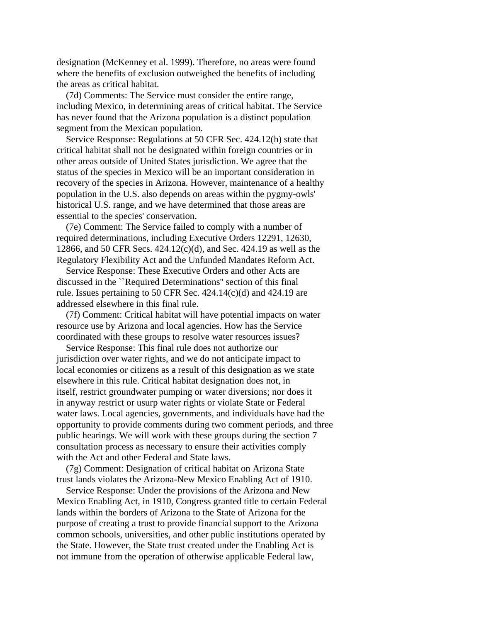designation (McKenney et al. 1999). Therefore, no areas were found where the benefits of exclusion outweighed the benefits of including the areas as critical habitat.

 (7d) Comments: The Service must consider the entire range, including Mexico, in determining areas of critical habitat. The Service has never found that the Arizona population is a distinct population segment from the Mexican population.

 Service Response: Regulations at 50 CFR Sec. 424.12(h) state that critical habitat shall not be designated within foreign countries or in other areas outside of United States jurisdiction. We agree that the status of the species in Mexico will be an important consideration in recovery of the species in Arizona. However, maintenance of a healthy population in the U.S. also depends on areas within the pygmy-owls' historical U.S. range, and we have determined that those areas are essential to the species' conservation.

 (7e) Comment: The Service failed to comply with a number of required determinations, including Executive Orders 12291, 12630, 12866, and 50 CFR Secs. 424.12(c)(d), and Sec. 424.19 as well as the Regulatory Flexibility Act and the Unfunded Mandates Reform Act.

 Service Response: These Executive Orders and other Acts are discussed in the ``Required Determinations'' section of this final rule. Issues pertaining to 50 CFR Sec.  $424.14(c)(d)$  and  $424.19$  are addressed elsewhere in this final rule.

 (7f) Comment: Critical habitat will have potential impacts on water resource use by Arizona and local agencies. How has the Service coordinated with these groups to resolve water resources issues?

 Service Response: This final rule does not authorize our jurisdiction over water rights, and we do not anticipate impact to local economies or citizens as a result of this designation as we state elsewhere in this rule. Critical habitat designation does not, in itself, restrict groundwater pumping or water diversions; nor does it in anyway restrict or usurp water rights or violate State or Federal water laws. Local agencies, governments, and individuals have had the opportunity to provide comments during two comment periods, and three public hearings. We will work with these groups during the section 7 consultation process as necessary to ensure their activities comply with the Act and other Federal and State laws.

 (7g) Comment: Designation of critical habitat on Arizona State trust lands violates the Arizona-New Mexico Enabling Act of 1910.

 Service Response: Under the provisions of the Arizona and New Mexico Enabling Act, in 1910, Congress granted title to certain Federal lands within the borders of Arizona to the State of Arizona for the purpose of creating a trust to provide financial support to the Arizona common schools, universities, and other public institutions operated by the State. However, the State trust created under the Enabling Act is not immune from the operation of otherwise applicable Federal law,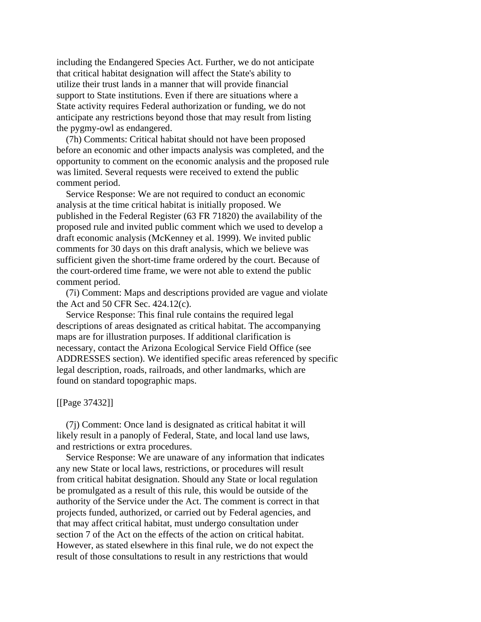including the Endangered Species Act. Further, we do not anticipate that critical habitat designation will affect the State's ability to utilize their trust lands in a manner that will provide financial support to State institutions. Even if there are situations where a State activity requires Federal authorization or funding, we do not anticipate any restrictions beyond those that may result from listing the pygmy-owl as endangered.

 (7h) Comments: Critical habitat should not have been proposed before an economic and other impacts analysis was completed, and the opportunity to comment on the economic analysis and the proposed rule was limited. Several requests were received to extend the public comment period.

 Service Response: We are not required to conduct an economic analysis at the time critical habitat is initially proposed. We published in the Federal Register (63 FR 71820) the availability of the proposed rule and invited public comment which we used to develop a draft economic analysis (McKenney et al. 1999). We invited public comments for 30 days on this draft analysis, which we believe was sufficient given the short-time frame ordered by the court. Because of the court-ordered time frame, we were not able to extend the public comment period.

 (7i) Comment: Maps and descriptions provided are vague and violate the Act and 50 CFR Sec. 424.12(c).

 Service Response: This final rule contains the required legal descriptions of areas designated as critical habitat. The accompanying maps are for illustration purposes. If additional clarification is necessary, contact the Arizona Ecological Service Field Office (see ADDRESSES section). We identified specific areas referenced by specific legal description, roads, railroads, and other landmarks, which are found on standard topographic maps.

[[Page 37432]]

 (7j) Comment: Once land is designated as critical habitat it will likely result in a panoply of Federal, State, and local land use laws, and restrictions or extra procedures.

 Service Response: We are unaware of any information that indicates any new State or local laws, restrictions, or procedures will result from critical habitat designation. Should any State or local regulation be promulgated as a result of this rule, this would be outside of the authority of the Service under the Act. The comment is correct in that projects funded, authorized, or carried out by Federal agencies, and that may affect critical habitat, must undergo consultation under section 7 of the Act on the effects of the action on critical habitat. However, as stated elsewhere in this final rule, we do not expect the result of those consultations to result in any restrictions that would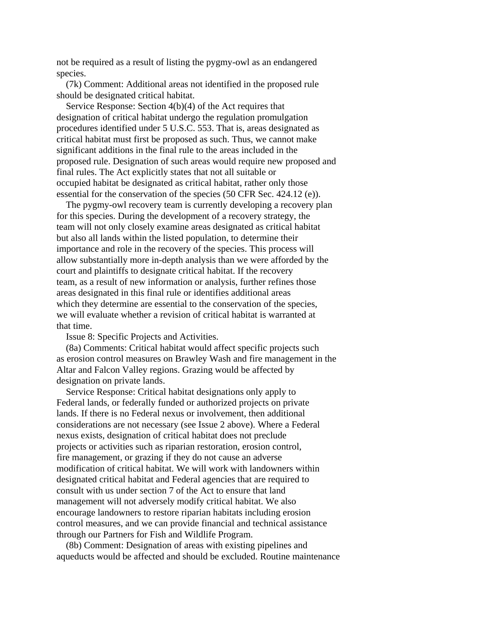not be required as a result of listing the pygmy-owl as an endangered species.

 (7k) Comment: Additional areas not identified in the proposed rule should be designated critical habitat.

 Service Response: Section 4(b)(4) of the Act requires that designation of critical habitat undergo the regulation promulgation procedures identified under 5 U.S.C. 553. That is, areas designated as critical habitat must first be proposed as such. Thus, we cannot make significant additions in the final rule to the areas included in the proposed rule. Designation of such areas would require new proposed and final rules. The Act explicitly states that not all suitable or occupied habitat be designated as critical habitat, rather only those essential for the conservation of the species (50 CFR Sec. 424.12 (e)).

 The pygmy-owl recovery team is currently developing a recovery plan for this species. During the development of a recovery strategy, the team will not only closely examine areas designated as critical habitat but also all lands within the listed population, to determine their importance and role in the recovery of the species. This process will allow substantially more in-depth analysis than we were afforded by the court and plaintiffs to designate critical habitat. If the recovery team, as a result of new information or analysis, further refines those areas designated in this final rule or identifies additional areas which they determine are essential to the conservation of the species, we will evaluate whether a revision of critical habitat is warranted at that time.

Issue 8: Specific Projects and Activities.

 (8a) Comments: Critical habitat would affect specific projects such as erosion control measures on Brawley Wash and fire management in the Altar and Falcon Valley regions. Grazing would be affected by designation on private lands.

 Service Response: Critical habitat designations only apply to Federal lands, or federally funded or authorized projects on private lands. If there is no Federal nexus or involvement, then additional considerations are not necessary (see Issue 2 above). Where a Federal nexus exists, designation of critical habitat does not preclude projects or activities such as riparian restoration, erosion control, fire management, or grazing if they do not cause an adverse modification of critical habitat. We will work with landowners within designated critical habitat and Federal agencies that are required to consult with us under section 7 of the Act to ensure that land management will not adversely modify critical habitat. We also encourage landowners to restore riparian habitats including erosion control measures, and we can provide financial and technical assistance through our Partners for Fish and Wildlife Program.

 (8b) Comment: Designation of areas with existing pipelines and aqueducts would be affected and should be excluded. Routine maintenance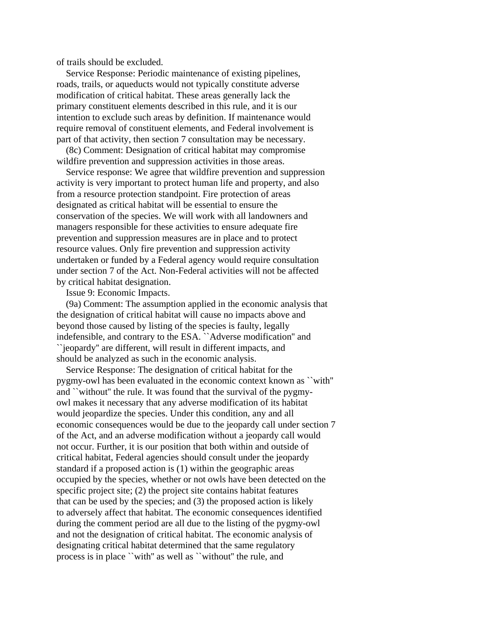of trails should be excluded.

 Service Response: Periodic maintenance of existing pipelines, roads, trails, or aqueducts would not typically constitute adverse modification of critical habitat. These areas generally lack the primary constituent elements described in this rule, and it is our intention to exclude such areas by definition. If maintenance would require removal of constituent elements, and Federal involvement is part of that activity, then section 7 consultation may be necessary.

 (8c) Comment: Designation of critical habitat may compromise wildfire prevention and suppression activities in those areas.

 Service response: We agree that wildfire prevention and suppression activity is very important to protect human life and property, and also from a resource protection standpoint. Fire protection of areas designated as critical habitat will be essential to ensure the conservation of the species. We will work with all landowners and managers responsible for these activities to ensure adequate fire prevention and suppression measures are in place and to protect resource values. Only fire prevention and suppression activity undertaken or funded by a Federal agency would require consultation under section 7 of the Act. Non-Federal activities will not be affected by critical habitat designation.

Issue 9: Economic Impacts.

 (9a) Comment: The assumption applied in the economic analysis that the designation of critical habitat will cause no impacts above and beyond those caused by listing of the species is faulty, legally indefensible, and contrary to the ESA. ``Adverse modification'' and ``jeopardy'' are different, will result in different impacts, and should be analyzed as such in the economic analysis.

 Service Response: The designation of critical habitat for the pygmy-owl has been evaluated in the economic context known as ``with'' and ``without'' the rule. It was found that the survival of the pygmyowl makes it necessary that any adverse modification of its habitat would jeopardize the species. Under this condition, any and all economic consequences would be due to the jeopardy call under section 7 of the Act, and an adverse modification without a jeopardy call would not occur. Further, it is our position that both within and outside of critical habitat, Federal agencies should consult under the jeopardy standard if a proposed action is (1) within the geographic areas occupied by the species, whether or not owls have been detected on the specific project site; (2) the project site contains habitat features that can be used by the species; and (3) the proposed action is likely to adversely affect that habitat. The economic consequences identified during the comment period are all due to the listing of the pygmy-owl and not the designation of critical habitat. The economic analysis of designating critical habitat determined that the same regulatory process is in place ``with'' as well as ``without'' the rule, and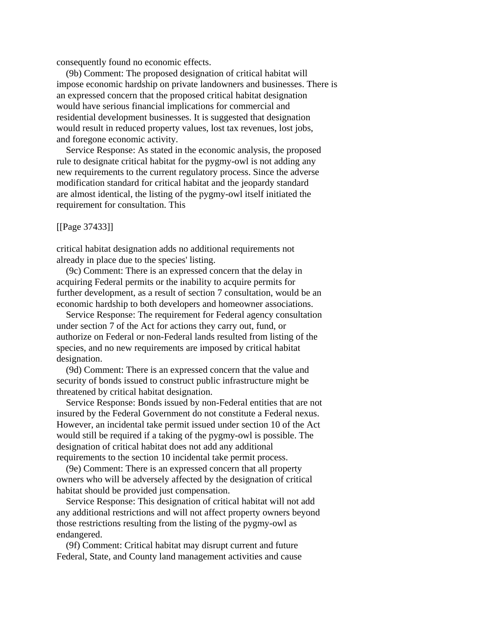consequently found no economic effects.

 (9b) Comment: The proposed designation of critical habitat will impose economic hardship on private landowners and businesses. There is an expressed concern that the proposed critical habitat designation would have serious financial implications for commercial and residential development businesses. It is suggested that designation would result in reduced property values, lost tax revenues, lost jobs, and foregone economic activity.

 Service Response: As stated in the economic analysis, the proposed rule to designate critical habitat for the pygmy-owl is not adding any new requirements to the current regulatory process. Since the adverse modification standard for critical habitat and the jeopardy standard are almost identical, the listing of the pygmy-owl itself initiated the requirement for consultation. This

#### [[Page 37433]]

critical habitat designation adds no additional requirements not already in place due to the species' listing.

 (9c) Comment: There is an expressed concern that the delay in acquiring Federal permits or the inability to acquire permits for further development, as a result of section 7 consultation, would be an economic hardship to both developers and homeowner associations.

 Service Response: The requirement for Federal agency consultation under section 7 of the Act for actions they carry out, fund, or authorize on Federal or non-Federal lands resulted from listing of the species, and no new requirements are imposed by critical habitat designation.

 (9d) Comment: There is an expressed concern that the value and security of bonds issued to construct public infrastructure might be threatened by critical habitat designation.

 Service Response: Bonds issued by non-Federal entities that are not insured by the Federal Government do not constitute a Federal nexus. However, an incidental take permit issued under section 10 of the Act would still be required if a taking of the pygmy-owl is possible. The designation of critical habitat does not add any additional requirements to the section 10 incidental take permit process.

 (9e) Comment: There is an expressed concern that all property owners who will be adversely affected by the designation of critical habitat should be provided just compensation.

 Service Response: This designation of critical habitat will not add any additional restrictions and will not affect property owners beyond those restrictions resulting from the listing of the pygmy-owl as endangered.

 (9f) Comment: Critical habitat may disrupt current and future Federal, State, and County land management activities and cause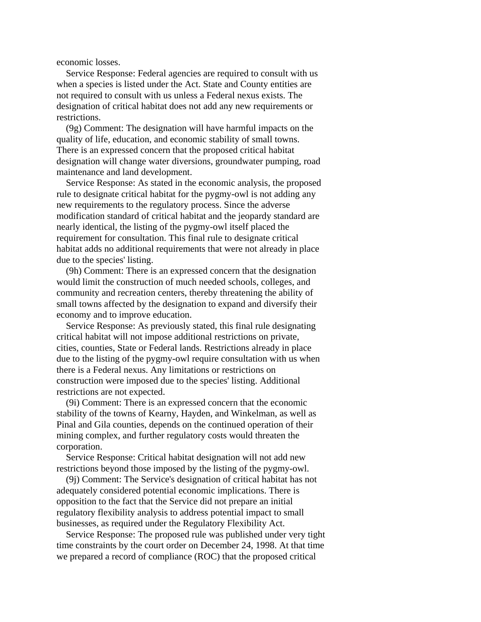economic losses.

 Service Response: Federal agencies are required to consult with us when a species is listed under the Act. State and County entities are not required to consult with us unless a Federal nexus exists. The designation of critical habitat does not add any new requirements or restrictions.

 (9g) Comment: The designation will have harmful impacts on the quality of life, education, and economic stability of small towns. There is an expressed concern that the proposed critical habitat designation will change water diversions, groundwater pumping, road maintenance and land development.

 Service Response: As stated in the economic analysis, the proposed rule to designate critical habitat for the pygmy-owl is not adding any new requirements to the regulatory process. Since the adverse modification standard of critical habitat and the jeopardy standard are nearly identical, the listing of the pygmy-owl itself placed the requirement for consultation. This final rule to designate critical habitat adds no additional requirements that were not already in place due to the species' listing.

 (9h) Comment: There is an expressed concern that the designation would limit the construction of much needed schools, colleges, and community and recreation centers, thereby threatening the ability of small towns affected by the designation to expand and diversify their economy and to improve education.

 Service Response: As previously stated, this final rule designating critical habitat will not impose additional restrictions on private, cities, counties, State or Federal lands. Restrictions already in place due to the listing of the pygmy-owl require consultation with us when there is a Federal nexus. Any limitations or restrictions on construction were imposed due to the species' listing. Additional restrictions are not expected.

 (9i) Comment: There is an expressed concern that the economic stability of the towns of Kearny, Hayden, and Winkelman, as well as Pinal and Gila counties, depends on the continued operation of their mining complex, and further regulatory costs would threaten the corporation.

 Service Response: Critical habitat designation will not add new restrictions beyond those imposed by the listing of the pygmy-owl.

 (9j) Comment: The Service's designation of critical habitat has not adequately considered potential economic implications. There is opposition to the fact that the Service did not prepare an initial regulatory flexibility analysis to address potential impact to small businesses, as required under the Regulatory Flexibility Act.

 Service Response: The proposed rule was published under very tight time constraints by the court order on December 24, 1998. At that time we prepared a record of compliance (ROC) that the proposed critical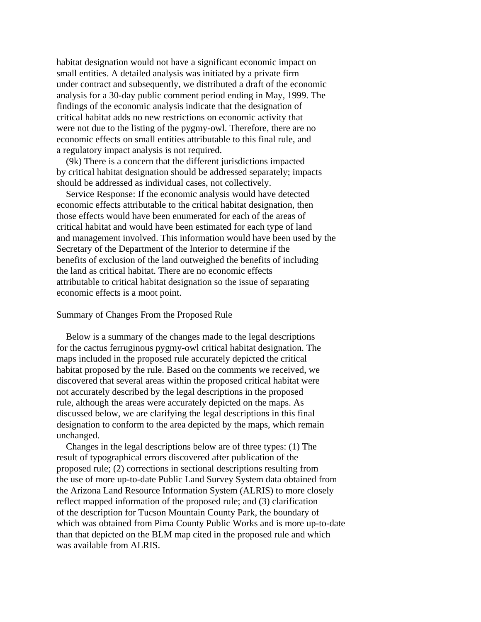habitat designation would not have a significant economic impact on small entities. A detailed analysis was initiated by a private firm under contract and subsequently, we distributed a draft of the economic analysis for a 30-day public comment period ending in May, 1999. The findings of the economic analysis indicate that the designation of critical habitat adds no new restrictions on economic activity that were not due to the listing of the pygmy-owl. Therefore, there are no economic effects on small entities attributable to this final rule, and a regulatory impact analysis is not required.

 (9k) There is a concern that the different jurisdictions impacted by critical habitat designation should be addressed separately; impacts should be addressed as individual cases, not collectively.

 Service Response: If the economic analysis would have detected economic effects attributable to the critical habitat designation, then those effects would have been enumerated for each of the areas of critical habitat and would have been estimated for each type of land and management involved. This information would have been used by the Secretary of the Department of the Interior to determine if the benefits of exclusion of the land outweighed the benefits of including the land as critical habitat. There are no economic effects attributable to critical habitat designation so the issue of separating economic effects is a moot point.

### Summary of Changes From the Proposed Rule

 Below is a summary of the changes made to the legal descriptions for the cactus ferruginous pygmy-owl critical habitat designation. The maps included in the proposed rule accurately depicted the critical habitat proposed by the rule. Based on the comments we received, we discovered that several areas within the proposed critical habitat were not accurately described by the legal descriptions in the proposed rule, although the areas were accurately depicted on the maps. As discussed below, we are clarifying the legal descriptions in this final designation to conform to the area depicted by the maps, which remain unchanged.

 Changes in the legal descriptions below are of three types: (1) The result of typographical errors discovered after publication of the proposed rule; (2) corrections in sectional descriptions resulting from the use of more up-to-date Public Land Survey System data obtained from the Arizona Land Resource Information System (ALRIS) to more closely reflect mapped information of the proposed rule; and (3) clarification of the description for Tucson Mountain County Park, the boundary of which was obtained from Pima County Public Works and is more up-to-date than that depicted on the BLM map cited in the proposed rule and which was available from ALRIS.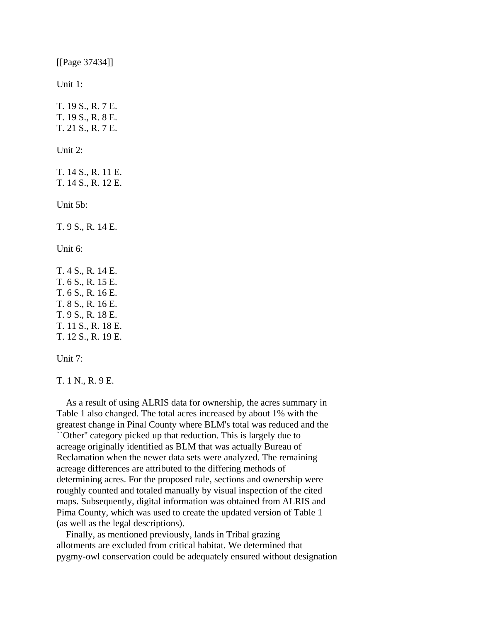[[Page 37434]] Unit 1: T. 19 S., R. 7 E. T. 19 S., R. 8 E. T. 21 S., R. 7 E. Unit 2: T. 14 S., R. 11 E. T. 14 S., R. 12 E. Unit 5b: T. 9 S., R. 14 E. Unit 6: T. 4 S., R. 14 E. T. 6 S., R. 15 E. T. 6 S., R. 16 E. T. 8 S., R. 16 E. T. 9 S., R. 18 E. T. 11 S., R. 18 E. T. 12 S., R. 19 E.

Unit 7:

T. 1 N., R. 9 E.

 As a result of using ALRIS data for ownership, the acres summary in Table 1 also changed. The total acres increased by about 1% with the greatest change in Pinal County where BLM's total was reduced and the ``Other'' category picked up that reduction. This is largely due to acreage originally identified as BLM that was actually Bureau of Reclamation when the newer data sets were analyzed. The remaining acreage differences are attributed to the differing methods of determining acres. For the proposed rule, sections and ownership were roughly counted and totaled manually by visual inspection of the cited maps. Subsequently, digital information was obtained from ALRIS and Pima County, which was used to create the updated version of Table 1 (as well as the legal descriptions).

 Finally, as mentioned previously, lands in Tribal grazing allotments are excluded from critical habitat. We determined that pygmy-owl conservation could be adequately ensured without designation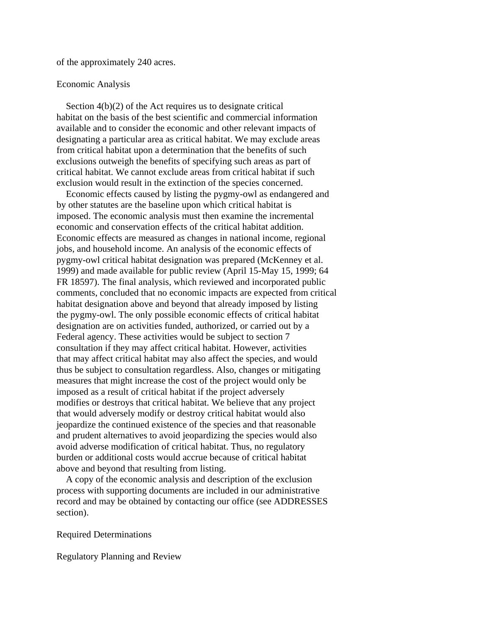of the approximately 240 acres.

### Economic Analysis

Section  $4(b)(2)$  of the Act requires us to designate critical habitat on the basis of the best scientific and commercial information available and to consider the economic and other relevant impacts of designating a particular area as critical habitat. We may exclude areas from critical habitat upon a determination that the benefits of such exclusions outweigh the benefits of specifying such areas as part of critical habitat. We cannot exclude areas from critical habitat if such exclusion would result in the extinction of the species concerned.

 Economic effects caused by listing the pygmy-owl as endangered and by other statutes are the baseline upon which critical habitat is imposed. The economic analysis must then examine the incremental economic and conservation effects of the critical habitat addition. Economic effects are measured as changes in national income, regional jobs, and household income. An analysis of the economic effects of pygmy-owl critical habitat designation was prepared (McKenney et al. 1999) and made available for public review (April 15-May 15, 1999; 64 FR 18597). The final analysis, which reviewed and incorporated public comments, concluded that no economic impacts are expected from critical habitat designation above and beyond that already imposed by listing the pygmy-owl. The only possible economic effects of critical habitat designation are on activities funded, authorized, or carried out by a Federal agency. These activities would be subject to section 7 consultation if they may affect critical habitat. However, activities that may affect critical habitat may also affect the species, and would thus be subject to consultation regardless. Also, changes or mitigating measures that might increase the cost of the project would only be imposed as a result of critical habitat if the project adversely modifies or destroys that critical habitat. We believe that any project that would adversely modify or destroy critical habitat would also jeopardize the continued existence of the species and that reasonable and prudent alternatives to avoid jeopardizing the species would also avoid adverse modification of critical habitat. Thus, no regulatory burden or additional costs would accrue because of critical habitat above and beyond that resulting from listing.

 A copy of the economic analysis and description of the exclusion process with supporting documents are included in our administrative record and may be obtained by contacting our office (see ADDRESSES section).

Required Determinations

Regulatory Planning and Review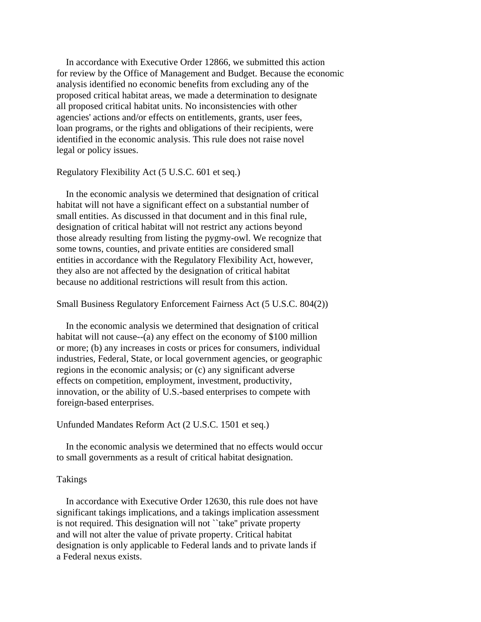In accordance with Executive Order 12866, we submitted this action for review by the Office of Management and Budget. Because the economic analysis identified no economic benefits from excluding any of the proposed critical habitat areas, we made a determination to designate all proposed critical habitat units. No inconsistencies with other agencies' actions and/or effects on entitlements, grants, user fees, loan programs, or the rights and obligations of their recipients, were identified in the economic analysis. This rule does not raise novel legal or policy issues.

#### Regulatory Flexibility Act (5 U.S.C. 601 et seq.)

 In the economic analysis we determined that designation of critical habitat will not have a significant effect on a substantial number of small entities. As discussed in that document and in this final rule, designation of critical habitat will not restrict any actions beyond those already resulting from listing the pygmy-owl. We recognize that some towns, counties, and private entities are considered small entities in accordance with the Regulatory Flexibility Act, however, they also are not affected by the designation of critical habitat because no additional restrictions will result from this action.

## Small Business Regulatory Enforcement Fairness Act (5 U.S.C. 804(2))

 In the economic analysis we determined that designation of critical habitat will not cause--(a) any effect on the economy of \$100 million or more; (b) any increases in costs or prices for consumers, individual industries, Federal, State, or local government agencies, or geographic regions in the economic analysis; or (c) any significant adverse effects on competition, employment, investment, productivity, innovation, or the ability of U.S.-based enterprises to compete with foreign-based enterprises.

### Unfunded Mandates Reform Act (2 U.S.C. 1501 et seq.)

 In the economic analysis we determined that no effects would occur to small governments as a result of critical habitat designation.

### Takings

 In accordance with Executive Order 12630, this rule does not have significant takings implications, and a takings implication assessment is not required. This designation will not ``take'' private property and will not alter the value of private property. Critical habitat designation is only applicable to Federal lands and to private lands if a Federal nexus exists.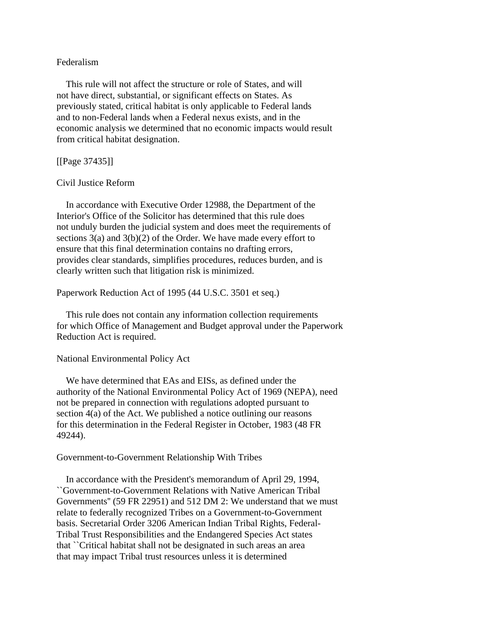## Federalism

 This rule will not affect the structure or role of States, and will not have direct, substantial, or significant effects on States. As previously stated, critical habitat is only applicable to Federal lands and to non-Federal lands when a Federal nexus exists, and in the economic analysis we determined that no economic impacts would result from critical habitat designation.

[[Page 37435]]

## Civil Justice Reform

 In accordance with Executive Order 12988, the Department of the Interior's Office of the Solicitor has determined that this rule does not unduly burden the judicial system and does meet the requirements of sections 3(a) and 3(b)(2) of the Order. We have made every effort to ensure that this final determination contains no drafting errors, provides clear standards, simplifies procedures, reduces burden, and is clearly written such that litigation risk is minimized.

Paperwork Reduction Act of 1995 (44 U.S.C. 3501 et seq.)

 This rule does not contain any information collection requirements for which Office of Management and Budget approval under the Paperwork Reduction Act is required.

## National Environmental Policy Act

 We have determined that EAs and EISs, as defined under the authority of the National Environmental Policy Act of 1969 (NEPA), need not be prepared in connection with regulations adopted pursuant to section 4(a) of the Act. We published a notice outlining our reasons for this determination in the Federal Register in October, 1983 (48 FR 49244).

## Government-to-Government Relationship With Tribes

 In accordance with the President's memorandum of April 29, 1994, ``Government-to-Government Relations with Native American Tribal Governments'' (59 FR 22951) and 512 DM 2: We understand that we must relate to federally recognized Tribes on a Government-to-Government basis. Secretarial Order 3206 American Indian Tribal Rights, Federal-Tribal Trust Responsibilities and the Endangered Species Act states that ``Critical habitat shall not be designated in such areas an area that may impact Tribal trust resources unless it is determined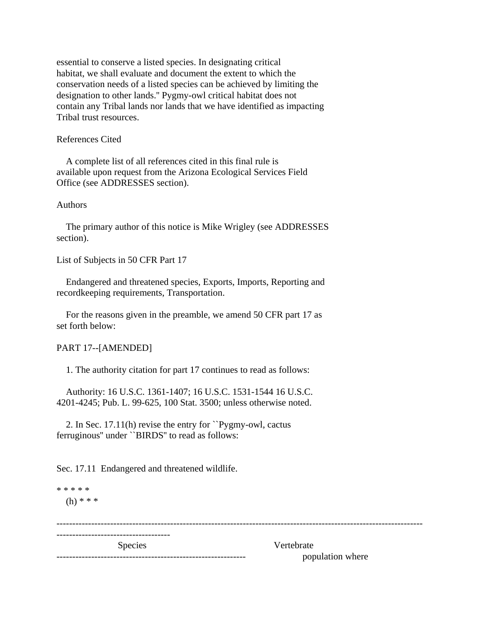essential to conserve a listed species. In designating critical habitat, we shall evaluate and document the extent to which the conservation needs of a listed species can be achieved by limiting the designation to other lands.'' Pygmy-owl critical habitat does not contain any Tribal lands nor lands that we have identified as impacting Tribal trust resources.

## References Cited

 A complete list of all references cited in this final rule is available upon request from the Arizona Ecological Services Field Office (see ADDRESSES section).

## Authors

 The primary author of this notice is Mike Wrigley (see ADDRESSES section).

List of Subjects in 50 CFR Part 17

 Endangered and threatened species, Exports, Imports, Reporting and recordkeeping requirements, Transportation.

 For the reasons given in the preamble, we amend 50 CFR part 17 as set forth below:

```
PART 17--[AMENDED]
```
1. The authority citation for part 17 continues to read as follows:

 Authority: 16 U.S.C. 1361-1407; 16 U.S.C. 1531-1544 16 U.S.C. 4201-4245; Pub. L. 99-625, 100 Stat. 3500; unless otherwise noted.

 2. In Sec. 17.11(h) revise the entry for ``Pygmy-owl, cactus ferruginous'' under ``BIRDS'' to read as follows:

Sec. 17.11 Endangered and threatened wildlife.

\* \* \* \* \* (h) \* \* \*

| Species | Vertebrate       |
|---------|------------------|
|         | population where |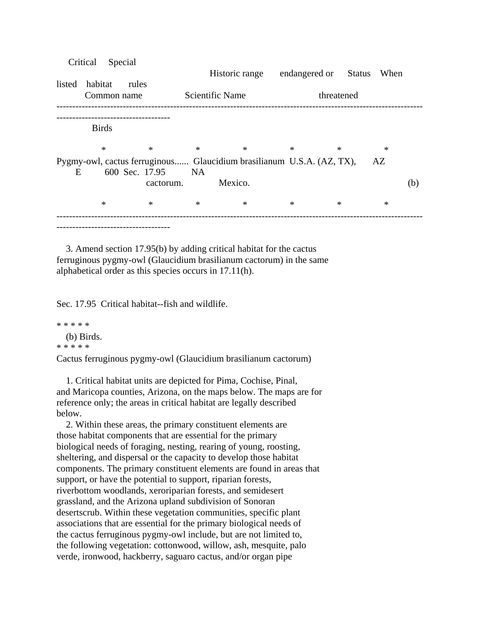|   | listed habitat<br>rules<br>Common name                                                  |                        |        | Historic range | endangered or Status When |        |        |  |
|---|-----------------------------------------------------------------------------------------|------------------------|--------|----------------|---------------------------|--------|--------|--|
|   |                                                                                         | <b>Scientific Name</b> |        |                | threatened                |        |        |  |
|   | <b>Birds</b>                                                                            |                        |        |                |                           |        |        |  |
|   | $\ast$                                                                                  | $\ast$                 | $\ast$ | $\ast$         | $\ast$                    | $\ast$ | $\ast$ |  |
| E | Pygmy-owl, cactus ferruginous Glaucidium brasilianum U.S.A. (AZ, TX),<br>600 Sec. 17.95 |                        | NA     |                |                           |        | AZ     |  |
|   |                                                                                         | cactorum.              |        | Mexico.        |                           |        | (b)    |  |
|   | $\ast$                                                                                  | $\ast$                 | $\ast$ | $\ast$         | $\ast$                    | $\ast$ | $\ast$ |  |
|   |                                                                                         |                        |        |                |                           |        |        |  |

 3. Amend section 17.95(b) by adding critical habitat for the cactus ferruginous pygmy-owl (Glaucidium brasilianum cactorum) in the same alphabetical order as this species occurs in 17.11(h).

Sec. 17.95 Critical habitat--fish and wildlife.

\* \* \* \* \* (b) Birds. \* \* \* \* \*

Critical Special

Cactus ferruginous pygmy-owl (Glaucidium brasilianum cactorum)

 1. Critical habitat units are depicted for Pima, Cochise, Pinal, and Maricopa counties, Arizona, on the maps below. The maps are for reference only; the areas in critical habitat are legally described below.

 2. Within these areas, the primary constituent elements are those habitat components that are essential for the primary biological needs of foraging, nesting, rearing of young, roosting, sheltering, and dispersal or the capacity to develop those habitat components. The primary constituent elements are found in areas that support, or have the potential to support, riparian forests, riverbottom woodlands, xeroriparian forests, and semidesert grassland, and the Arizona upland subdivision of Sonoran desertscrub. Within these vegetation communities, specific plant associations that are essential for the primary biological needs of the cactus ferruginous pygmy-owl include, but are not limited to, the following vegetation: cottonwood, willow, ash, mesquite, palo verde, ironwood, hackberry, saguaro cactus, and/or organ pipe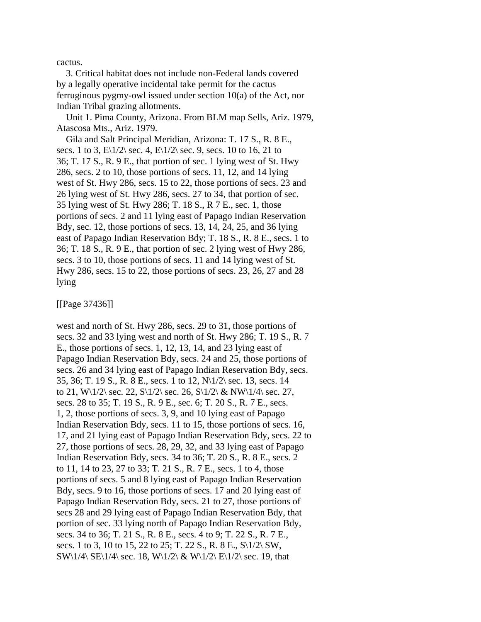cactus.

 3. Critical habitat does not include non-Federal lands covered by a legally operative incidental take permit for the cactus ferruginous pygmy-owl issued under section 10(a) of the Act, nor Indian Tribal grazing allotments.

 Unit 1. Pima County, Arizona. From BLM map Sells, Ariz. 1979, Atascosa Mts., Ariz. 1979.

 Gila and Salt Principal Meridian, Arizona: T. 17 S., R. 8 E., secs. 1 to 3,  $E\frac{1}{2}\sec 4$ ,  $E\frac{1}{2}\sec 9$ , secs. 10 to 16, 21 to 36; T. 17 S., R. 9 E., that portion of sec. 1 lying west of St. Hwy 286, secs. 2 to 10, those portions of secs. 11, 12, and 14 lying west of St. Hwy 286, secs. 15 to 22, those portions of secs. 23 and 26 lying west of St. Hwy 286, secs. 27 to 34, that portion of sec. 35 lying west of St. Hwy 286; T. 18 S., R 7 E., sec. 1, those portions of secs. 2 and 11 lying east of Papago Indian Reservation Bdy, sec. 12, those portions of secs. 13, 14, 24, 25, and 36 lying east of Papago Indian Reservation Bdy; T. 18 S., R. 8 E., secs. 1 to 36; T. 18 S., R. 9 E., that portion of sec. 2 lying west of Hwy 286, secs. 3 to 10, those portions of secs. 11 and 14 lying west of St. Hwy 286, secs. 15 to 22, those portions of secs. 23, 26, 27 and 28 lying

[[Page 37436]]

west and north of St. Hwy 286, secs. 29 to 31, those portions of secs. 32 and 33 lying west and north of St. Hwy 286; T. 19 S., R. 7 E., those portions of secs. 1, 12, 13, 14, and 23 lying east of Papago Indian Reservation Bdy, secs. 24 and 25, those portions of secs. 26 and 34 lying east of Papago Indian Reservation Bdy, secs. 35, 36; T. 19 S., R. 8 E., secs. 1 to 12, N\1/2\ sec. 13, secs. 14 to 21, W\1/2\ sec. 22, S\1/2\ sec. 26, S\1/2\ & NW\1/4\ sec. 27, secs. 28 to 35; T. 19 S., R. 9 E., sec. 6; T. 20 S., R. 7 E., secs. 1, 2, those portions of secs. 3, 9, and 10 lying east of Papago Indian Reservation Bdy, secs. 11 to 15, those portions of secs. 16, 17, and 21 lying east of Papago Indian Reservation Bdy, secs. 22 to 27, those portions of secs. 28, 29, 32, and 33 lying east of Papago Indian Reservation Bdy, secs. 34 to 36; T. 20 S., R. 8 E., secs. 2 to 11, 14 to 23, 27 to 33; T. 21 S., R. 7 E., secs. 1 to 4, those portions of secs. 5 and 8 lying east of Papago Indian Reservation Bdy, secs. 9 to 16, those portions of secs. 17 and 20 lying east of Papago Indian Reservation Bdy, secs. 21 to 27, those portions of secs 28 and 29 lying east of Papago Indian Reservation Bdy, that portion of sec. 33 lying north of Papago Indian Reservation Bdy, secs. 34 to 36; T. 21 S., R. 8 E., secs. 4 to 9; T. 22 S., R. 7 E., secs. 1 to 3, 10 to 15, 22 to 25; T. 22 S., R. 8 E., S\1/2\ SW, SW\1/4\ SE\1/4\ sec. 18, W\1/2\ & W\1/2\ E\1/2\ sec. 19, that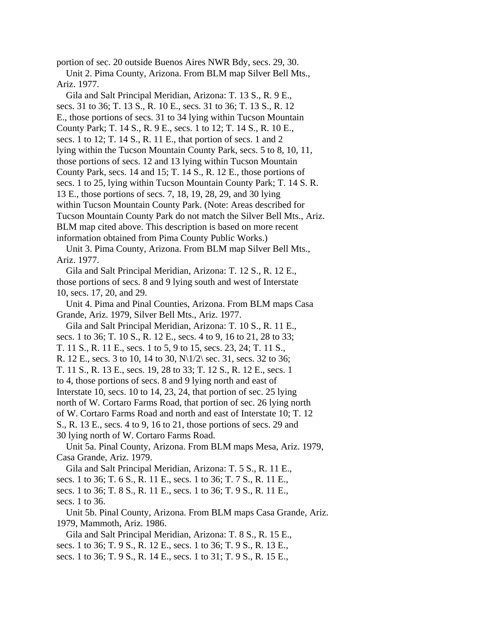portion of sec. 20 outside Buenos Aires NWR Bdy, secs. 29, 30.

 Unit 2. Pima County, Arizona. From BLM map Silver Bell Mts., Ariz. 1977.

 Gila and Salt Principal Meridian, Arizona: T. 13 S., R. 9 E., secs. 31 to 36; T. 13 S., R. 10 E., secs. 31 to 36; T. 13 S., R. 12 E., those portions of secs. 31 to 34 lying within Tucson Mountain County Park; T. 14 S., R. 9 E., secs. 1 to 12; T. 14 S., R. 10 E., secs. 1 to 12; T. 14 S., R. 11 E., that portion of secs. 1 and 2 lying within the Tucson Mountain County Park, secs. 5 to 8, 10, 11, those portions of secs. 12 and 13 lying within Tucson Mountain County Park, secs. 14 and 15; T. 14 S., R. 12 E., those portions of secs. 1 to 25, lying within Tucson Mountain County Park; T. 14 S. R. 13 E., those portions of secs. 7, 18, 19, 28, 29, and 30 lying within Tucson Mountain County Park. (Note: Areas described for Tucson Mountain County Park do not match the Silver Bell Mts., Ariz. BLM map cited above. This description is based on more recent information obtained from Pima County Public Works.)

 Unit 3. Pima County, Arizona. From BLM map Silver Bell Mts., Ariz. 1977.

 Gila and Salt Principal Meridian, Arizona: T. 12 S., R. 12 E., those portions of secs. 8 and 9 lying south and west of Interstate 10, secs. 17, 20, and 29.

 Unit 4. Pima and Pinal Counties, Arizona. From BLM maps Casa Grande, Ariz. 1979, Silver Bell Mts., Ariz. 1977.

 Gila and Salt Principal Meridian, Arizona: T. 10 S., R. 11 E., secs. 1 to 36; T. 10 S., R. 12 E., secs. 4 to 9, 16 to 21, 28 to 33; T. 11 S., R. 11 E., secs. 1 to 5, 9 to 15, secs. 23, 24; T. 11 S., R. 12 E., secs. 3 to 10, 14 to 30, N\1/2\ sec. 31, secs. 32 to 36; T. 11 S., R. 13 E., secs. 19, 28 to 33; T. 12 S., R. 12 E., secs. 1 to 4, those portions of secs. 8 and 9 lying north and east of Interstate 10, secs. 10 to 14, 23, 24, that portion of sec. 25 lying north of W. Cortaro Farms Road, that portion of sec. 26 lying north of W. Cortaro Farms Road and north and east of Interstate 10; T. 12 S., R. 13 E., secs. 4 to 9, 16 to 21, those portions of secs. 29 and 30 lying north of W. Cortaro Farms Road.

 Unit 5a. Pinal County, Arizona. From BLM maps Mesa, Ariz. 1979, Casa Grande, Ariz. 1979.

 Gila and Salt Principal Meridian, Arizona: T. 5 S., R. 11 E., secs. 1 to 36; T. 6 S., R. 11 E., secs. 1 to 36; T. 7 S., R. 11 E., secs. 1 to 36; T. 8 S., R. 11 E., secs. 1 to 36; T. 9 S., R. 11 E., secs. 1 to 36.

 Unit 5b. Pinal County, Arizona. From BLM maps Casa Grande, Ariz. 1979, Mammoth, Ariz. 1986.

 Gila and Salt Principal Meridian, Arizona: T. 8 S., R. 15 E., secs. 1 to 36; T. 9 S., R. 12 E., secs. 1 to 36; T. 9 S., R. 13 E., secs. 1 to 36; T. 9 S., R. 14 E., secs. 1 to 31; T. 9 S., R. 15 E.,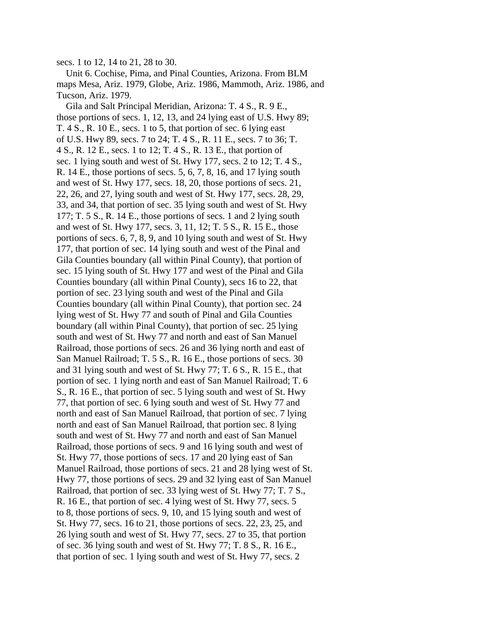#### secs. 1 to 12, 14 to 21, 28 to 30.

 Unit 6. Cochise, Pima, and Pinal Counties, Arizona. From BLM maps Mesa, Ariz. 1979, Globe, Ariz. 1986, Mammoth, Ariz. 1986, and Tucson, Ariz. 1979.

 Gila and Salt Principal Meridian, Arizona: T. 4 S., R. 9 E., those portions of secs. 1, 12, 13, and 24 lying east of U.S. Hwy 89; T. 4 S., R. 10 E., secs. 1 to 5, that portion of sec. 6 lying east of U.S. Hwy 89, secs. 7 to 24; T. 4 S., R. 11 E., secs. 7 to 36; T. 4 S., R. 12 E., secs. 1 to 12; T. 4 S., R. 13 E., that portion of sec. 1 lying south and west of St. Hwy 177, secs. 2 to 12; T. 4 S., R. 14 E., those portions of secs. 5, 6, 7, 8, 16, and 17 lying south and west of St. Hwy 177, secs. 18, 20, those portions of secs. 21, 22, 26, and 27, lying south and west of St. Hwy 177, secs. 28, 29, 33, and 34, that portion of sec. 35 lying south and west of St. Hwy 177; T. 5 S., R. 14 E., those portions of secs. 1 and 2 lying south and west of St. Hwy 177, secs. 3, 11, 12; T. 5 S., R. 15 E., those portions of secs. 6, 7, 8, 9, and 10 lying south and west of St. Hwy 177, that portion of sec. 14 lying south and west of the Pinal and Gila Counties boundary (all within Pinal County), that portion of sec. 15 lying south of St. Hwy 177 and west of the Pinal and Gila Counties boundary (all within Pinal County), secs 16 to 22, that portion of sec. 23 lying south and west of the Pinal and Gila Counties boundary (all within Pinal County), that portion sec. 24 lying west of St. Hwy 77 and south of Pinal and Gila Counties boundary (all within Pinal County), that portion of sec. 25 lying south and west of St. Hwy 77 and north and east of San Manuel Railroad, those portions of secs. 26 and 36 lying north and east of San Manuel Railroad; T. 5 S., R. 16 E., those portions of secs. 30 and 31 lying south and west of St. Hwy 77; T. 6 S., R. 15 E., that portion of sec. 1 lying north and east of San Manuel Railroad; T. 6 S., R. 16 E., that portion of sec. 5 lying south and west of St. Hwy 77, that portion of sec. 6 lying south and west of St. Hwy 77 and north and east of San Manuel Railroad, that portion of sec. 7 lying north and east of San Manuel Railroad, that portion sec. 8 lying south and west of St. Hwy 77 and north and east of San Manuel Railroad, those portions of secs. 9 and 16 lying south and west of St. Hwy 77, those portions of secs. 17 and 20 lying east of San Manuel Railroad, those portions of secs. 21 and 28 lying west of St. Hwy 77, those portions of secs. 29 and 32 lying east of San Manuel Railroad, that portion of sec. 33 lying west of St. Hwy 77; T. 7 S., R. 16 E., that portion of sec. 4 lying west of St. Hwy 77, secs. 5 to 8, those portions of secs. 9, 10, and 15 lying south and west of St. Hwy 77, secs. 16 to 21, those portions of secs. 22, 23, 25, and 26 lying south and west of St. Hwy 77, secs. 27 to 35, that portion of sec. 36 lying south and west of St. Hwy 77; T. 8 S., R. 16 E., that portion of sec. 1 lying south and west of St. Hwy 77, secs. 2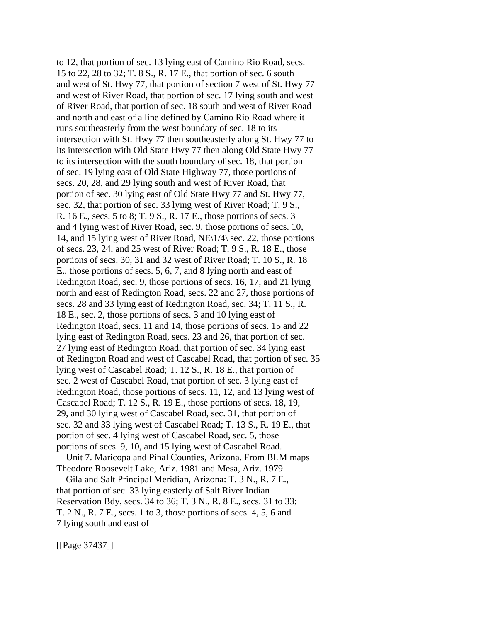to 12, that portion of sec. 13 lying east of Camino Rio Road, secs. 15 to 22, 28 to 32; T. 8 S., R. 17 E., that portion of sec. 6 south and west of St. Hwy 77, that portion of section 7 west of St. Hwy 77 and west of River Road, that portion of sec. 17 lying south and west of River Road, that portion of sec. 18 south and west of River Road and north and east of a line defined by Camino Rio Road where it runs southeasterly from the west boundary of sec. 18 to its intersection with St. Hwy 77 then southeasterly along St. Hwy 77 to its intersection with Old State Hwy 77 then along Old State Hwy 77 to its intersection with the south boundary of sec. 18, that portion of sec. 19 lying east of Old State Highway 77, those portions of secs. 20, 28, and 29 lying south and west of River Road, that portion of sec. 30 lying east of Old State Hwy 77 and St. Hwy 77, sec. 32, that portion of sec. 33 lying west of River Road; T. 9 S., R. 16 E., secs. 5 to 8; T. 9 S., R. 17 E., those portions of secs. 3 and 4 lying west of River Road, sec. 9, those portions of secs. 10, 14, and 15 lying west of River Road, NE\1/4\ sec. 22, those portions of secs. 23, 24, and 25 west of River Road; T. 9 S., R. 18 E., those portions of secs. 30, 31 and 32 west of River Road; T. 10 S., R. 18 E., those portions of secs. 5, 6, 7, and 8 lying north and east of Redington Road, sec. 9, those portions of secs. 16, 17, and 21 lying north and east of Redington Road, secs. 22 and 27, those portions of secs. 28 and 33 lying east of Redington Road, sec. 34; T. 11 S., R. 18 E., sec. 2, those portions of secs. 3 and 10 lying east of Redington Road, secs. 11 and 14, those portions of secs. 15 and 22 lying east of Redington Road, secs. 23 and 26, that portion of sec. 27 lying east of Redington Road, that portion of sec. 34 lying east of Redington Road and west of Cascabel Road, that portion of sec. 35 lying west of Cascabel Road; T. 12 S., R. 18 E., that portion of sec. 2 west of Cascabel Road, that portion of sec. 3 lying east of Redington Road, those portions of secs. 11, 12, and 13 lying west of Cascabel Road; T. 12 S., R. 19 E., those portions of secs. 18, 19, 29, and 30 lying west of Cascabel Road, sec. 31, that portion of sec. 32 and 33 lying west of Cascabel Road; T. 13 S., R. 19 E., that portion of sec. 4 lying west of Cascabel Road, sec. 5, those portions of secs. 9, 10, and 15 lying west of Cascabel Road. Unit 7. Maricopa and Pinal Counties, Arizona. From BLM maps Theodore Roosevelt Lake, Ariz. 1981 and Mesa, Ariz. 1979.

 Gila and Salt Principal Meridian, Arizona: T. 3 N., R. 7 E., that portion of sec. 33 lying easterly of Salt River Indian Reservation Bdy, secs. 34 to 36; T. 3 N., R. 8 E., secs. 31 to 33; T. 2 N., R. 7 E., secs. 1 to 3, those portions of secs. 4, 5, 6 and 7 lying south and east of

[[Page 37437]]